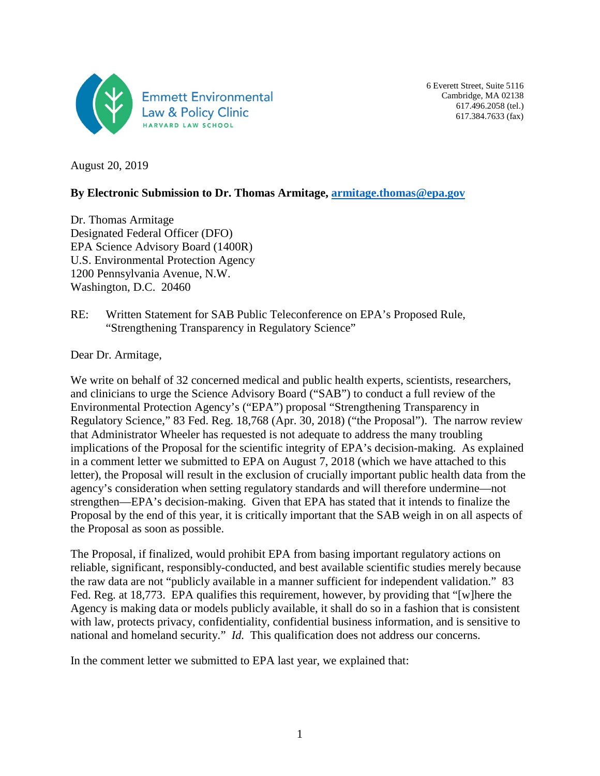

6 Everett Street, Suite 5116 Cambridge, MA 02138 617.496.2058 (tel.) 617.384.7633 (fax)

August 20, 2019

#### **By Electronic Submission to Dr. Thomas Armitage, [armitage.thomas@epa.gov](mailto:armitage.thomas@epa.gov)**

Dr. Thomas Armitage Designated Federal Officer (DFO) EPA Science Advisory Board (1400R) U.S. Environmental Protection Agency 1200 Pennsylvania Avenue, N.W. Washington, D.C. 20460

RE: Written Statement for SAB Public Teleconference on EPA's Proposed Rule, "Strengthening Transparency in Regulatory Science"

Dear Dr. Armitage,

We write on behalf of 32 concerned medical and public health experts, scientists, researchers, and clinicians to urge the Science Advisory Board ("SAB") to conduct a full review of the Environmental Protection Agency's ("EPA") proposal "Strengthening Transparency in Regulatory Science," 83 Fed. Reg. 18,768 (Apr. 30, 2018) ("the Proposal"). The narrow review that Administrator Wheeler has requested is not adequate to address the many troubling implications of the Proposal for the scientific integrity of EPA's decision-making. As explained in a comment letter we submitted to EPA on August 7, 2018 (which we have attached to this letter), the Proposal will result in the exclusion of crucially important public health data from the agency's consideration when setting regulatory standards and will therefore undermine—not strengthen—EPA's decision-making. Given that EPA has stated that it intends to finalize the Proposal by the end of this year, it is critically important that the SAB weigh in on all aspects of the Proposal as soon as possible.

The Proposal, if finalized, would prohibit EPA from basing important regulatory actions on reliable, significant, responsibly-conducted, and best available scientific studies merely because the raw data are not "publicly available in a manner sufficient for independent validation." 83 Fed. Reg. at 18,773. EPA qualifies this requirement, however, by providing that "[w]here the Agency is making data or models publicly available, it shall do so in a fashion that is consistent with law, protects privacy, confidentiality, confidential business information, and is sensitive to national and homeland security." *Id.* This qualification does not address our concerns.

In the comment letter we submitted to EPA last year, we explained that: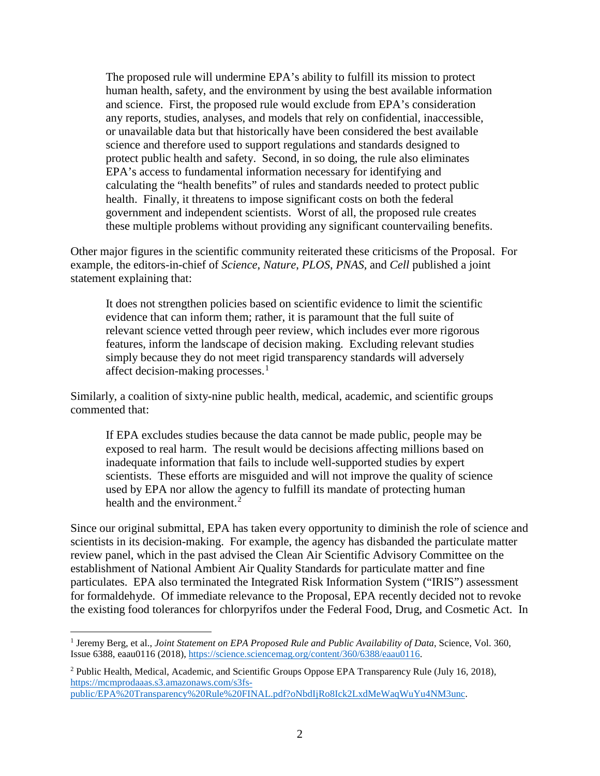The proposed rule will undermine EPA's ability to fulfill its mission to protect human health, safety, and the environment by using the best available information and science. First, the proposed rule would exclude from EPA's consideration any reports, studies, analyses, and models that rely on confidential, inaccessible, or unavailable data but that historically have been considered the best available science and therefore used to support regulations and standards designed to protect public health and safety. Second, in so doing, the rule also eliminates EPA's access to fundamental information necessary for identifying and calculating the "health benefits" of rules and standards needed to protect public health. Finally, it threatens to impose significant costs on both the federal government and independent scientists. Worst of all, the proposed rule creates these multiple problems without providing any significant countervailing benefits.

Other major figures in the scientific community reiterated these criticisms of the Proposal. For example, the editors-in-chief of *Science*, *Nature*, *PLOS*, *PNAS*, and *Cell* published a joint statement explaining that:

It does not strengthen policies based on scientific evidence to limit the scientific evidence that can inform them; rather, it is paramount that the full suite of relevant science vetted through peer review, which includes ever more rigorous features, inform the landscape of decision making. Excluding relevant studies simply because they do not meet rigid transparency standards will adversely affect decision-making processes. $<sup>1</sup>$  $<sup>1</sup>$  $<sup>1</sup>$ </sup>

Similarly, a coalition of sixty-nine public health, medical, academic, and scientific groups commented that:

If EPA excludes studies because the data cannot be made public, people may be exposed to real harm. The result would be decisions affecting millions based on inadequate information that fails to include well-supported studies by expert scientists. These efforts are misguided and will not improve the quality of science used by EPA nor allow the agency to fulfill its mandate of protecting human health and the environment.<sup>[2](#page-1-1)</sup>

Since our original submittal, EPA has taken every opportunity to diminish the role of science and scientists in its decision-making. For example, the agency has disbanded the particulate matter review panel, which in the past advised the Clean Air Scientific Advisory Committee on the establishment of National Ambient Air Quality Standards for particulate matter and fine particulates. EPA also terminated the Integrated Risk Information System ("IRIS") assessment for formaldehyde. Of immediate relevance to the Proposal, EPA recently decided not to revoke the existing food tolerances for chlorpyrifos under the Federal Food, Drug, and Cosmetic Act. In

l

<span id="page-1-0"></span><sup>1</sup> Jeremy Berg, et al., *Joint Statement on EPA Proposed Rule and Public Availability of Data*, Science, Vol. 360, Issue 6388, eaau0116 (2018)[, https://science.sciencemag.org/content/360/6388/eaau0116.](https://science.sciencemag.org/content/360/6388/eaau0116)

<span id="page-1-1"></span><sup>2</sup> Public Health, Medical, Academic, and Scientific Groups Oppose EPA Transparency Rule (July 16, 2018), [https://mcmprodaaas.s3.amazonaws.com/s3fs-](https://mcmprodaaas.s3.amazonaws.com/s3fs-public/EPA%20Transparency%20Rule%20FINAL.pdf?oNbdIjRo8Ick2LxdMeWaqWuYu4NM3unc)

[public/EPA%20Transparency%20Rule%20FINAL.pdf?oNbdIjRo8Ick2LxdMeWaqWuYu4NM3unc.](https://mcmprodaaas.s3.amazonaws.com/s3fs-public/EPA%20Transparency%20Rule%20FINAL.pdf?oNbdIjRo8Ick2LxdMeWaqWuYu4NM3unc)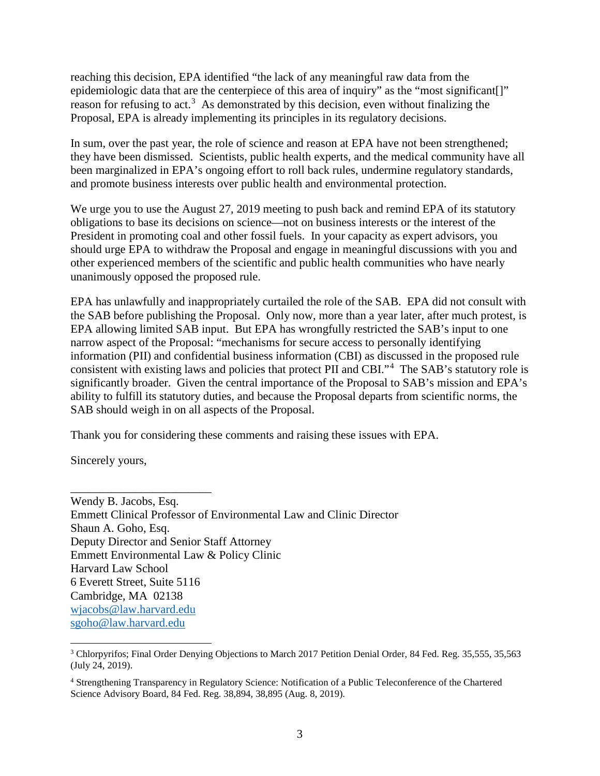reaching this decision, EPA identified "the lack of any meaningful raw data from the epidemiologic data that are the centerpiece of this area of inquiry" as the "most significant. reason for refusing to act.<sup>[3](#page-2-0)</sup> As demonstrated by this decision, even without finalizing the Proposal, EPA is already implementing its principles in its regulatory decisions.

In sum, over the past year, the role of science and reason at EPA have not been strengthened; they have been dismissed. Scientists, public health experts, and the medical community have all been marginalized in EPA's ongoing effort to roll back rules, undermine regulatory standards, and promote business interests over public health and environmental protection.

We urge you to use the August 27, 2019 meeting to push back and remind EPA of its statutory obligations to base its decisions on science—not on business interests or the interest of the President in promoting coal and other fossil fuels. In your capacity as expert advisors, you should urge EPA to withdraw the Proposal and engage in meaningful discussions with you and other experienced members of the scientific and public health communities who have nearly unanimously opposed the proposed rule.

EPA has unlawfully and inappropriately curtailed the role of the SAB. EPA did not consult with the SAB before publishing the Proposal. Only now, more than a year later, after much protest, is EPA allowing limited SAB input. But EPA has wrongfully restricted the SAB's input to one narrow aspect of the Proposal: "mechanisms for secure access to personally identifying information (PII) and confidential business information (CBI) as discussed in the proposed rule consistent with existing laws and policies that protect PII and CBI."[4](#page-2-1) The SAB's statutory role is significantly broader. Given the central importance of the Proposal to SAB's mission and EPA's ability to fulfill its statutory duties, and because the Proposal departs from scientific norms, the SAB should weigh in on all aspects of the Proposal.

Thank you for considering these comments and raising these issues with EPA.

Sincerely yours,

\_\_\_\_\_\_\_\_\_\_\_\_\_\_\_\_\_\_\_\_\_\_\_\_

Wendy B. Jacobs, Esq. Emmett Clinical Professor of Environmental Law and Clinic Director Shaun A. Goho, Esq. Deputy Director and Senior Staff Attorney Emmett Environmental Law & Policy Clinic Harvard Law School 6 Everett Street, Suite 5116 Cambridge, MA 02138 [wjacobs@law.harvard.edu](mailto:wjacobs@law.harvard.edu) [sgoho@law.harvard.edu](mailto:sgoho@law.harvard.edu)

<span id="page-2-0"></span> $\overline{a}$ <sup>3</sup> Chlorpyrifos; Final Order Denying Objections to March 2017 Petition Denial Order, 84 Fed. Reg. 35,555, 35,563 (July 24, 2019).

<span id="page-2-1"></span><sup>4</sup> Strengthening Transparency in Regulatory Science: Notification of a Public Teleconference of the Chartered Science Advisory Board, 84 Fed. Reg. 38,894, 38,895 (Aug. 8, 2019).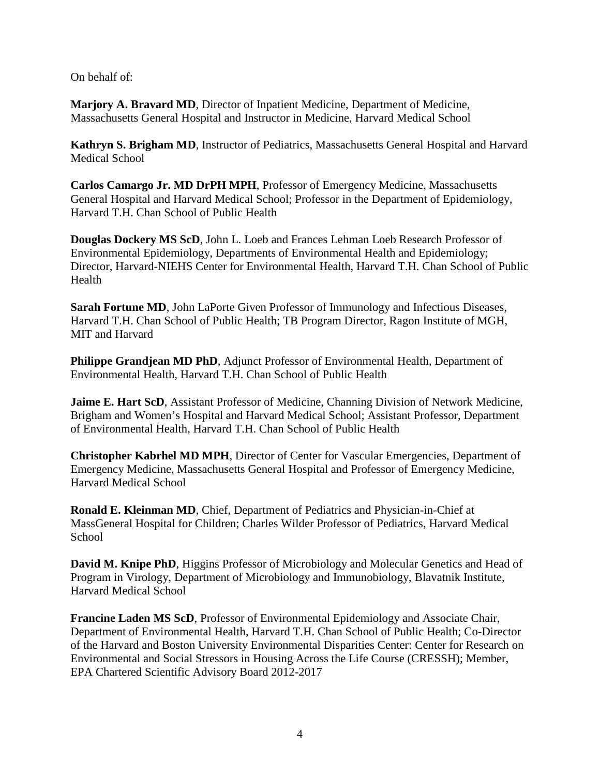On behalf of:

**Marjory A. Bravard MD**, Director of Inpatient Medicine, Department of Medicine, Massachusetts General Hospital and Instructor in Medicine, Harvard Medical School

**Kathryn S. Brigham MD**, Instructor of Pediatrics, Massachusetts General Hospital and Harvard Medical School

**Carlos Camargo Jr. MD DrPH MPH**, Professor of Emergency Medicine, Massachusetts General Hospital and Harvard Medical School; Professor in the Department of Epidemiology, Harvard T.H. Chan School of Public Health

**Douglas Dockery MS ScD**, John L. Loeb and Frances Lehman Loeb Research Professor of Environmental Epidemiology, Departments of Environmental Health and Epidemiology; Director, Harvard-NIEHS Center for Environmental Health, Harvard T.H. Chan School of Public Health

**Sarah Fortune MD**, John LaPorte Given Professor of Immunology and Infectious Diseases, Harvard T.H. Chan School of Public Health; TB Program Director, Ragon Institute of MGH, MIT and Harvard

**Philippe Grandjean MD PhD**, Adjunct Professor of Environmental Health, Department of Environmental Health, Harvard T.H. Chan School of Public Health

**Jaime E. Hart ScD**, Assistant Professor of Medicine, Channing Division of Network Medicine, Brigham and Women's Hospital and Harvard Medical School; Assistant Professor, Department of Environmental Health, Harvard T.H. Chan School of Public Health

**Christopher Kabrhel MD MPH**, Director of Center for Vascular Emergencies, Department of Emergency Medicine, Massachusetts General Hospital and Professor of Emergency Medicine, Harvard Medical School

**Ronald E. Kleinman MD**, Chief, Department of Pediatrics and Physician-in-Chief at MassGeneral Hospital for Children; Charles Wilder Professor of Pediatrics, Harvard Medical **School** 

**David M. Knipe PhD**, Higgins Professor of Microbiology and Molecular Genetics and Head of Program in Virology, Department of Microbiology and Immunobiology, Blavatnik Institute, Harvard Medical School

**Francine Laden MS ScD**, Professor of Environmental Epidemiology and Associate Chair, Department of Environmental Health, Harvard T.H. Chan School of Public Health; Co-Director of the Harvard and Boston University Environmental Disparities Center: Center for Research on Environmental and Social Stressors in Housing Across the Life Course (CRESSH); Member, EPA Chartered Scientific Advisory Board 2012-2017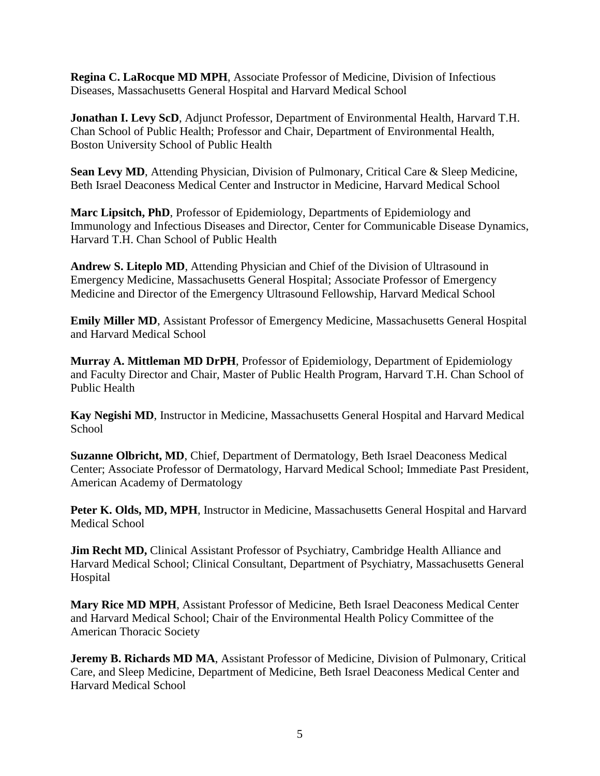**Regina C. LaRocque MD MPH**, Associate Professor of Medicine, Division of Infectious Diseases, Massachusetts General Hospital and Harvard Medical School

**Jonathan I. Levy ScD**, Adjunct Professor, Department of Environmental Health, Harvard T.H. Chan School of Public Health; Professor and Chair, Department of Environmental Health, Boston University School of Public Health

**Sean Levy MD**, Attending Physician, Division of Pulmonary, Critical Care & Sleep Medicine, Beth Israel Deaconess Medical Center and Instructor in Medicine, Harvard Medical School

**Marc Lipsitch, PhD**, Professor of Epidemiology, Departments of Epidemiology and Immunology and Infectious Diseases and Director, Center for Communicable Disease Dynamics, Harvard T.H. Chan School of Public Health

**Andrew S. Liteplo MD**, Attending Physician and Chief of the Division of Ultrasound in Emergency Medicine, Massachusetts General Hospital; Associate Professor of Emergency Medicine and Director of the Emergency Ultrasound Fellowship, Harvard Medical School

**Emily Miller MD**, Assistant Professor of Emergency Medicine, Massachusetts General Hospital and Harvard Medical School

**Murray A. Mittleman MD DrPH**, Professor of Epidemiology, Department of Epidemiology and Faculty Director and Chair, Master of Public Health Program, Harvard T.H. Chan School of Public Health

**Kay Negishi MD**, Instructor in Medicine, Massachusetts General Hospital and Harvard Medical **School** 

**Suzanne Olbricht, MD**, Chief, Department of Dermatology, Beth Israel Deaconess Medical Center; Associate Professor of Dermatology, Harvard Medical School; Immediate Past President, American Academy of Dermatology

Peter K. Olds, MD, MPH, Instructor in Medicine, Massachusetts General Hospital and Harvard Medical School

**Jim Recht MD,** Clinical Assistant Professor of Psychiatry, Cambridge Health Alliance and Harvard Medical School; Clinical Consultant, Department of Psychiatry, Massachusetts General Hospital

**Mary Rice MD MPH**, Assistant Professor of Medicine, Beth Israel Deaconess Medical Center and Harvard Medical School; Chair of the Environmental Health Policy Committee of the American Thoracic Society

**Jeremy B. Richards MD MA, Assistant Professor of Medicine, Division of Pulmonary, Critical** Care, and Sleep Medicine, Department of Medicine, Beth Israel Deaconess Medical Center and Harvard Medical School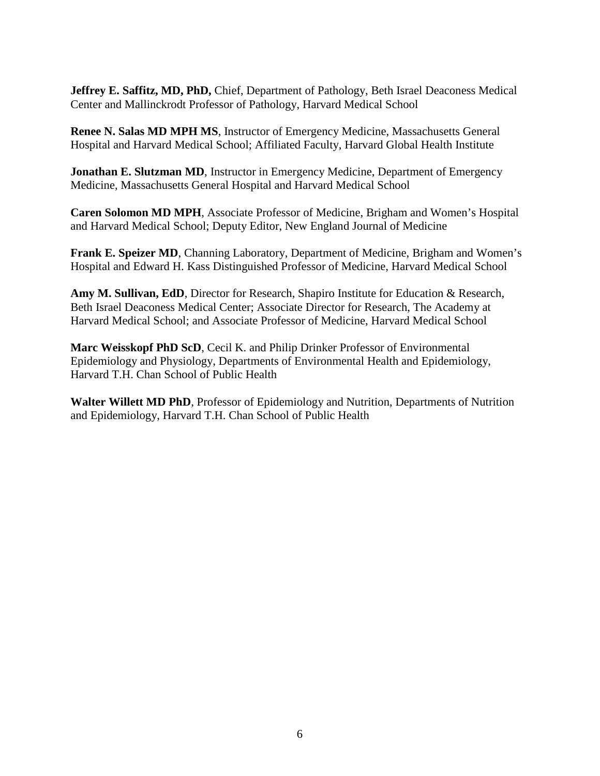**Jeffrey E. Saffitz, MD, PhD,** Chief, Department of Pathology, Beth Israel Deaconess Medical Center and Mallinckrodt Professor of Pathology, Harvard Medical School

**Renee N. Salas MD MPH MS**, Instructor of Emergency Medicine, Massachusetts General Hospital and Harvard Medical School; Affiliated Faculty, Harvard Global Health Institute

**Jonathan E. Slutzman MD**, Instructor in Emergency Medicine, Department of Emergency Medicine, Massachusetts General Hospital and Harvard Medical School

**Caren Solomon MD MPH**, Associate Professor of Medicine, Brigham and Women's Hospital and Harvard Medical School; Deputy Editor, New England Journal of Medicine

**Frank E. Speizer MD**, Channing Laboratory, Department of Medicine, Brigham and Women's Hospital and Edward H. Kass Distinguished Professor of Medicine, Harvard Medical School

**Amy M. Sullivan, EdD**, Director for Research, Shapiro Institute for Education & Research, Beth Israel Deaconess Medical Center; Associate Director for Research, The Academy at Harvard Medical School; and Associate Professor of Medicine, Harvard Medical School

**Marc Weisskopf PhD ScD**, Cecil K. and Philip Drinker Professor of Environmental Epidemiology and Physiology, Departments of Environmental Health and Epidemiology, Harvard T.H. Chan School of Public Health

**Walter Willett MD PhD**, Professor of Epidemiology and Nutrition, Departments of Nutrition and Epidemiology, Harvard T.H. Chan School of Public Health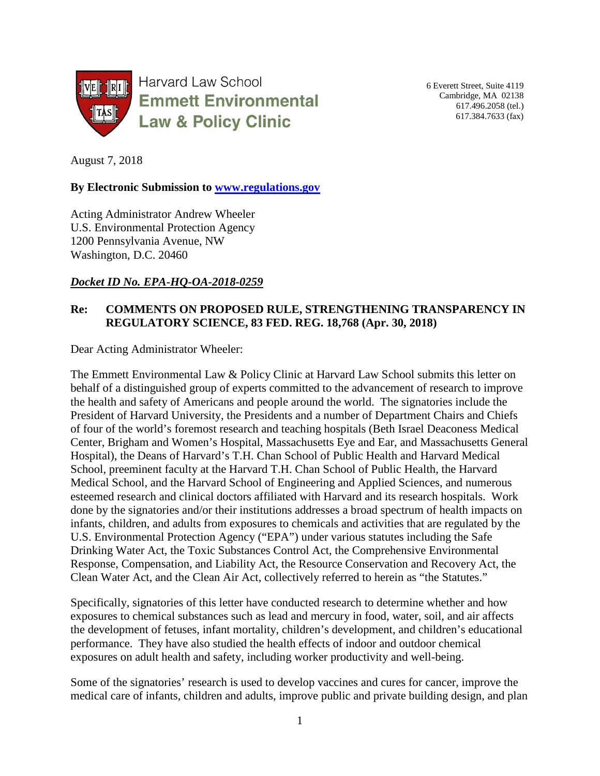

6 Everett Street, Suite 4119 Cambridge, MA 02138 617.496.2058 (tel.) 617.384.7633 (fax)

August 7, 2018

#### **By Electronic Submission to [www.regulations.gov](http://www.regulations.gov/)**

Acting Administrator Andrew Wheeler U.S. Environmental Protection Agency 1200 Pennsylvania Avenue, NW Washington, D.C. 20460

### *Docket ID No. EPA-HQ-OA-2018-0259*

## **Re: COMMENTS ON PROPOSED RULE, STRENGTHENING TRANSPARENCY IN REGULATORY SCIENCE, 83 FED. REG. 18,768 (Apr. 30, 2018)**

Dear Acting Administrator Wheeler:

The Emmett Environmental Law & Policy Clinic at Harvard Law School submits this letter on behalf of a distinguished group of experts committed to the advancement of research to improve the health and safety of Americans and people around the world. The signatories include the President of Harvard University, the Presidents and a number of Department Chairs and Chiefs of four of the world's foremost research and teaching hospitals (Beth Israel Deaconess Medical Center, Brigham and Women's Hospital, Massachusetts Eye and Ear, and Massachusetts General Hospital), the Deans of Harvard's T.H. Chan School of Public Health and Harvard Medical School, preeminent faculty at the Harvard T.H. Chan School of Public Health, the Harvard Medical School, and the Harvard School of Engineering and Applied Sciences, and numerous esteemed research and clinical doctors affiliated with Harvard and its research hospitals. Work done by the signatories and/or their institutions addresses a broad spectrum of health impacts on infants, children, and adults from exposures to chemicals and activities that are regulated by the U.S. Environmental Protection Agency ("EPA") under various statutes including the Safe Drinking Water Act, the Toxic Substances Control Act, the Comprehensive Environmental Response, Compensation, and Liability Act, the Resource Conservation and Recovery Act, the Clean Water Act, and the Clean Air Act, collectively referred to herein as "the Statutes."

Specifically, signatories of this letter have conducted research to determine whether and how exposures to chemical substances such as lead and mercury in food, water, soil, and air affects the development of fetuses, infant mortality, children's development, and children's educational performance. They have also studied the health effects of indoor and outdoor chemical exposures on adult health and safety, including worker productivity and well-being.

Some of the signatories' research is used to develop vaccines and cures for cancer, improve the medical care of infants, children and adults, improve public and private building design, and plan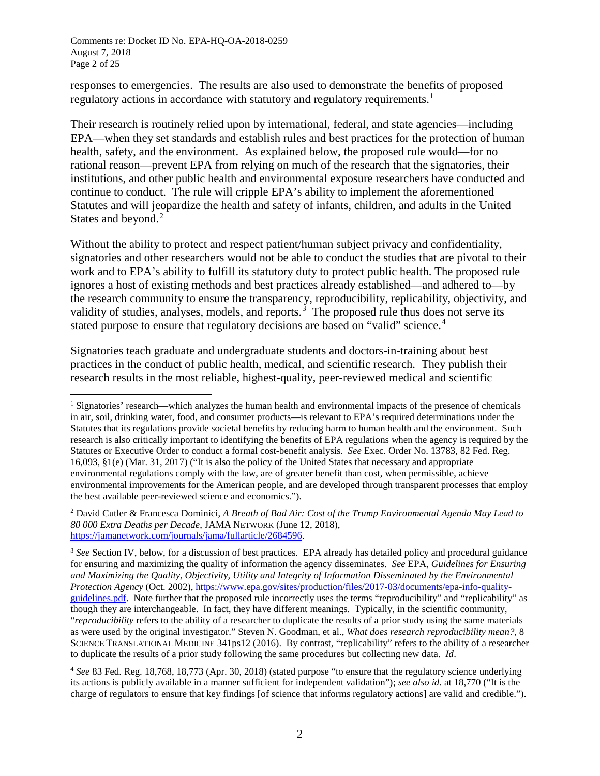responses to emergencies. The results are also used to demonstrate the benefits of proposed regulatory actions in accordance with statutory and regulatory requirements.<sup>[1](#page-7-0)</sup>

Their research is routinely relied upon by international, federal, and state agencies—including EPA—when they set standards and establish rules and best practices for the protection of human health, safety, and the environment. As explained below, the proposed rule would—for no rational reason—prevent EPA from relying on much of the research that the signatories, their institutions, and other public health and environmental exposure researchers have conducted and continue to conduct. The rule will cripple EPA's ability to implement the aforementioned Statutes and will jeopardize the health and safety of infants, children, and adults in the United States and beyond.<sup>[2](#page-7-1)</sup>

Without the ability to protect and respect patient/human subject privacy and confidentiality, signatories and other researchers would not be able to conduct the studies that are pivotal to their work and to EPA's ability to fulfill its statutory duty to protect public health. The proposed rule ignores a host of existing methods and best practices already established—and adhered to—by the research community to ensure the transparency, reproducibility, replicability, objectivity, and validity of studies, analyses, models, and reports.<sup>[3](#page-7-2)</sup> The proposed rule thus does not serve its stated purpose to ensure that regulatory decisions are based on "valid" science.<sup>[4](#page-7-3)</sup>

Signatories teach graduate and undergraduate students and doctors-in-training about best practices in the conduct of public health, medical, and scientific research. They publish their research results in the most reliable, highest-quality, peer-reviewed medical and scientific

<span id="page-7-0"></span> <sup>1</sup> Signatories' research—which analyzes the human health and environmental impacts of the presence of chemicals in air, soil, drinking water, food, and consumer products—is relevant to EPA's required determinations under the Statutes that its regulations provide societal benefits by reducing harm to human health and the environment. Such research is also critically important to identifying the benefits of EPA regulations when the agency is required by the Statutes or Executive Order to conduct a formal cost-benefit analysis. *See* Exec. Order No. 13783, 82 Fed. Reg. 16,093, §1(e) (Mar. 31, 2017) ("It is also the policy of the United States that necessary and appropriate environmental regulations comply with the law, are of greater benefit than cost, when permissible, achieve environmental improvements for the American people, and are developed through transparent processes that employ the best available peer-reviewed science and economics.").

<span id="page-7-1"></span><sup>2</sup> David Cutler & Francesca Dominici, *A Breath of Bad Air: Cost of the Trump Environmental Agenda May Lead to 80 000 Extra Deaths per Decade*, JAMA NETWORK (June 12, 2018), [https://jamanetwork.com/journals/jama/fullarticle/2684596.](https://jamanetwork.com/journals/jama/fullarticle/2684596)

<span id="page-7-2"></span><sup>3</sup> *See* Section IV, below, for a discussion of best practices. EPA already has detailed policy and procedural guidance for ensuring and maximizing the quality of information the agency disseminates. *See* EPA, *Guidelines for Ensuring and Maximizing the Quality, Objectivity, Utility and Integrity of Information Disseminated by the Environmental Protection Agency* (Oct. 2002)[, https://www.epa.gov/sites/production/files/2017-03/documents/epa-info-quality](https://www.epa.gov/sites/production/files/2017-03/documents/epa-info-quality-guidelines.pdf)[guidelines.pdf.](https://www.epa.gov/sites/production/files/2017-03/documents/epa-info-quality-guidelines.pdf) Note further that the proposed rule incorrectly uses the terms "reproducibility" and "replicability" as though they are interchangeable. In fact, they have different meanings. Typically, in the scientific community, "*reproducibility* refers to the ability of a researcher to duplicate the results of a prior study using the same materials as were used by the original investigator." Steven N. Goodman, et al., *What does research reproducibility mean?*, 8 SCIENCE TRANSLATIONAL MEDICINE 341ps12 (2016). By contrast, "replicability" refers to the ability of a researcher to duplicate the results of a prior study following the same procedures but collecting new data. *Id*.

<span id="page-7-3"></span><sup>4</sup> *See* 83 Fed. Reg. 18,768, 18,773 (Apr. 30, 2018) (stated purpose "to ensure that the regulatory science underlying its actions is publicly available in a manner sufficient for independent validation"); *see also id.* at 18,770 ("It is the charge of regulators to ensure that key findings [of science that informs regulatory actions] are valid and credible.").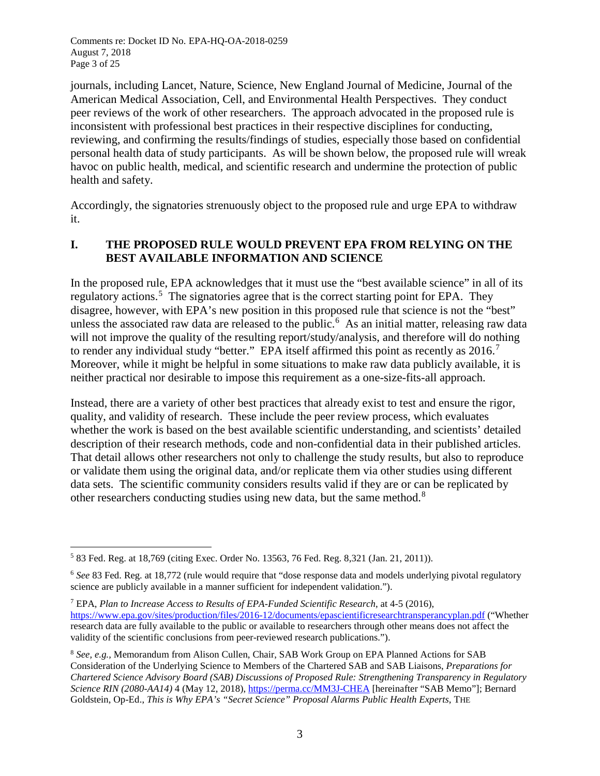Comments re: Docket ID No. EPA-HQ-OA-2018-0259 August 7, 2018 Page 3 of 25

journals, including Lancet, Nature, Science, New England Journal of Medicine, Journal of the American Medical Association, Cell, and Environmental Health Perspectives. They conduct peer reviews of the work of other researchers. The approach advocated in the proposed rule is inconsistent with professional best practices in their respective disciplines for conducting, reviewing, and confirming the results/findings of studies, especially those based on confidential personal health data of study participants. As will be shown below, the proposed rule will wreak havoc on public health, medical, and scientific research and undermine the protection of public health and safety.

Accordingly, the signatories strenuously object to the proposed rule and urge EPA to withdraw it.

## **I. THE PROPOSED RULE WOULD PREVENT EPA FROM RELYING ON THE BEST AVAILABLE INFORMATION AND SCIENCE**

In the proposed rule, EPA acknowledges that it must use the "best available science" in all of its regulatory actions.<sup>[5](#page-8-0)</sup> The signatories agree that is the correct starting point for EPA. They disagree, however, with EPA's new position in this proposed rule that science is not the "best" unless the associated raw data are released to the public.<sup>[6](#page-8-1)</sup> As an initial matter, releasing raw data will not improve the quality of the resulting report/study/analysis, and therefore will do nothing to render any individual study "better." EPA itself affirmed this point as recently as  $2016$ .<sup>[7](#page-8-2)</sup> Moreover, while it might be helpful in some situations to make raw data publicly available, it is neither practical nor desirable to impose this requirement as a one-size-fits-all approach.

Instead, there are a variety of other best practices that already exist to test and ensure the rigor, quality, and validity of research. These include the peer review process, which evaluates whether the work is based on the best available scientific understanding, and scientists' detailed description of their research methods, code and non-confidential data in their published articles. That detail allows other researchers not only to challenge the study results, but also to reproduce or validate them using the original data, and/or replicate them via other studies using different data sets. The scientific community considers results valid if they are or can be replicated by other researchers conducting studies using new data, but the same method.<sup>[8](#page-8-3)</sup>

<span id="page-8-0"></span> <sup>5</sup> 83 Fed. Reg. at 18,769 (citing Exec. Order No. 13563, 76 Fed. Reg. 8,321 (Jan. 21, 2011)).

<span id="page-8-1"></span><sup>6</sup> *See* 83 Fed. Reg. at 18,772 (rule would require that "dose response data and models underlying pivotal regulatory science are publicly available in a manner sufficient for independent validation.").

<span id="page-8-2"></span><sup>7</sup> EPA, *Plan to Increase Access to Results of EPA-Funded Scientific Research*, at 4-5 (2016), <https://www.epa.gov/sites/production/files/2016-12/documents/epascientificresearchtransperancyplan.pdf> ("Whether research data are fully available to the public or available to researchers through other means does not affect the validity of the scientific conclusions from peer-reviewed research publications.").

<span id="page-8-3"></span><sup>8</sup> *See, e.g.,* Memorandum from Alison Cullen, Chair, SAB Work Group on EPA Planned Actions for SAB Consideration of the Underlying Science to Members of the Chartered SAB and SAB Liaisons, *Preparations for Chartered Science Advisory Board (SAB) Discussions of Proposed Rule: Strengthening Transparency in Regulatory Science RIN (2080-AA14)* 4 (May 12, 2018)[, https://perma.cc/MM3J-CHEA](https://perma.cc/MM3J-CHEA) [hereinafter "SAB Memo"]; Bernard Goldstein, Op-Ed., *This is Why EPA's "Secret Science" Proposal Alarms Public Health Experts*, THE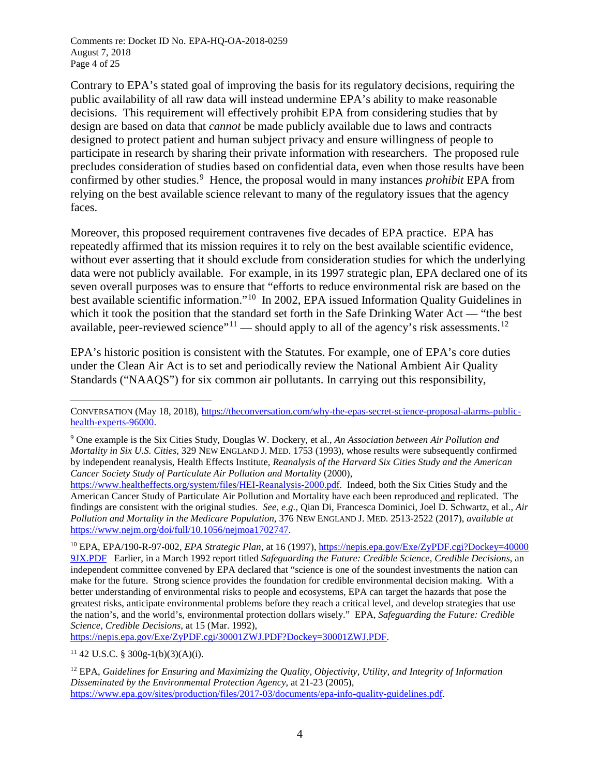Comments re: Docket ID No. EPA-HQ-OA-2018-0259 August 7, 2018 Page 4 of 25

Contrary to EPA's stated goal of improving the basis for its regulatory decisions, requiring the public availability of all raw data will instead undermine EPA's ability to make reasonable decisions. This requirement will effectively prohibit EPA from considering studies that by design are based on data that *cannot* be made publicly available due to laws and contracts designed to protect patient and human subject privacy and ensure willingness of people to participate in research by sharing their private information with researchers. The proposed rule precludes consideration of studies based on confidential data, even when those results have been confirmed by other studies. [9](#page-9-0) Hence, the proposal would in many instances *prohibit* EPA from relying on the best available science relevant to many of the regulatory issues that the agency faces.

Moreover, this proposed requirement contravenes five decades of EPA practice. EPA has repeatedly affirmed that its mission requires it to rely on the best available scientific evidence, without ever asserting that it should exclude from consideration studies for which the underlying data were not publicly available. For example, in its 1997 strategic plan, EPA declared one of its seven overall purposes was to ensure that "efforts to reduce environmental risk are based on the best available scientific information."[10](#page-9-1) In 2002, EPA issued Information Quality Guidelines in which it took the position that the standard set forth in the Safe Drinking Water Act — "the best" available, peer-reviewed science"<sup>[11](#page-9-2)</sup> — should apply to all of the agency's risk assessments.<sup>[12](#page-9-3)</sup>

EPA's historic position is consistent with the Statutes. For example, one of EPA's core duties under the Clean Air Act is to set and periodically review the National Ambient Air Quality Standards ("NAAQS") for six common air pollutants. In carrying out this responsibility,

[https://nepis.epa.gov/Exe/ZyPDF.cgi/30001ZWJ.PDF?Dockey=30001ZWJ.PDF.](https://nepis.epa.gov/Exe/ZyPDF.cgi/30001ZWJ.PDF?Dockey=30001ZWJ.PDF)

<span id="page-9-2"></span><sup>11</sup> 42 U.S.C. § 300g-1(b)(3)(A)(i).

 $\overline{a}$ 

CONVERSATION (May 18, 2018)[, https://theconversation.com/why-the-epas-secret-science-proposal-alarms-public](https://theconversation.com/why-the-epas-secret-science-proposal-alarms-public-health-experts-96000)[health-experts-96000.](https://theconversation.com/why-the-epas-secret-science-proposal-alarms-public-health-experts-96000)

<span id="page-9-0"></span><sup>9</sup> One example is the Six Cities Study, Douglas W. Dockery, et al., *An Association between Air Pollution and Mortality in Six U.S. Cities*, 329 NEW ENGLAND J. MED. 1753 (1993), whose results were subsequently confirmed by independent reanalysis, Health Effects Institute, *Reanalysis of the Harvard Six Cities Study and the American Cancer Society Study of Particulate Air Pollution and Mortality* (2000),

[https://www.healtheffects.org/system/files/HEI-Reanalysis-2000.pdf.](https://www.healtheffects.org/system/files/HEI-Reanalysis-2000.pdf) Indeed, both the Six Cities Study and the American Cancer Study of Particulate Air Pollution and Mortality have each been reproduced and replicated. The findings are consistent with the original studies. *See, e.g.*, Qian Di, Francesca Dominici, Joel D. Schwartz, et al., *Air Pollution and Mortality in the Medicare Population*, 376 NEW ENGLAND J. MED. 2513-2522 (2017), *available at* [https://www.nejm.org/doi/full/10.1056/nejmoa1702747.](https://www.nejm.org/doi/full/10.1056/nejmoa1702747)

<span id="page-9-1"></span><sup>10</sup> EPA, EPA/190-R-97-002, *EPA Strategic Plan*, at 16 (1997), [https://nepis.epa.gov/Exe/ZyPDF.cgi?Dockey=40000](https://nepis.epa.gov/Exe/ZyPDF.cgi?Dockey=400009JX.PDF) [9JX.PDF](https://nepis.epa.gov/Exe/ZyPDF.cgi?Dockey=400009JX.PDF) Earlier, in a March 1992 report titled *Safeguarding the Future: Credible Science, Credible Decisions*, an independent committee convened by EPA declared that "science is one of the soundest investments the nation can make for the future. Strong science provides the foundation for credible environmental decision making. With a better understanding of environmental risks to people and ecosystems, EPA can target the hazards that pose the greatest risks, anticipate environmental problems before they reach a critical level, and develop strategies that use the nation's, and the world's, environmental protection dollars wisely." EPA, *Safeguarding the Future: Credible Science, Credible Decisions*, at 15 (Mar. 1992),

<span id="page-9-3"></span><sup>12</sup> EPA, *Guidelines for Ensuring and Maximizing the Quality, Objectivity, Utility, and Integrity of Information Disseminated by the Environmental Protection Agency*, at 21-23 (2005), [https://www.epa.gov/sites/production/files/2017-03/documents/epa-info-quality-guidelines.pdf.](https://www.epa.gov/sites/production/files/2017-03/documents/epa-info-quality-guidelines.pdf)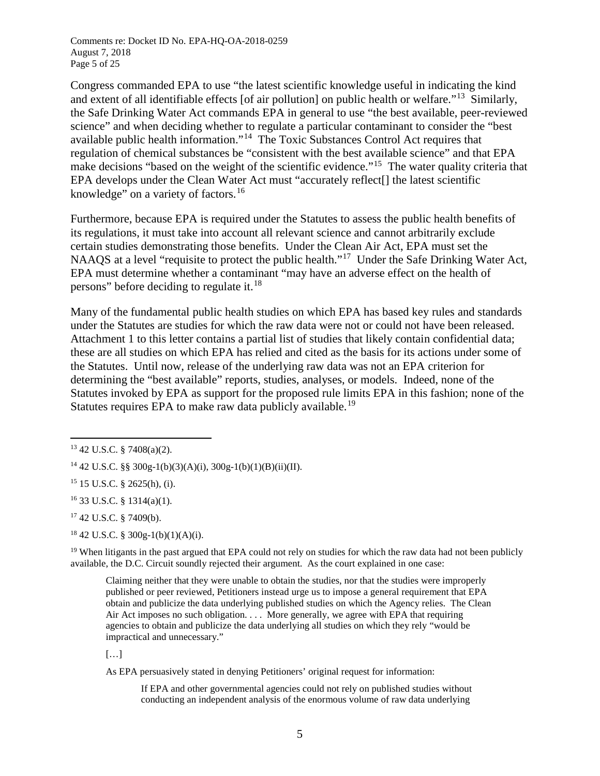Comments re: Docket ID No. EPA-HQ-OA-2018-0259 August 7, 2018 Page 5 of 25

Congress commanded EPA to use "the latest scientific knowledge useful in indicating the kind and extent of all identifiable effects [of air pollution] on public health or welfare."[13](#page-10-0) Similarly, the Safe Drinking Water Act commands EPA in general to use "the best available, peer-reviewed science" and when deciding whether to regulate a particular contaminant to consider the "best available public health information."[14](#page-10-1) The Toxic Substances Control Act requires that regulation of chemical substances be "consistent with the best available science" and that EPA make decisions "based on the weight of the scientific evidence."<sup>15</sup> The water quality criteria that EPA develops under the Clean Water Act must "accurately reflect[] the latest scientific knowledge" on a variety of factors.<sup>[16](#page-10-3)</sup>

Furthermore, because EPA is required under the Statutes to assess the public health benefits of its regulations, it must take into account all relevant science and cannot arbitrarily exclude certain studies demonstrating those benefits. Under the Clean Air Act, EPA must set the NAAQS at a level "requisite to protect the public health."[17](#page-10-4) Under the Safe Drinking Water Act, EPA must determine whether a contaminant "may have an adverse effect on the health of persons" before deciding to regulate it. $18$ 

Many of the fundamental public health studies on which EPA has based key rules and standards under the Statutes are studies for which the raw data were not or could not have been released. Attachment 1 to this letter contains a partial list of studies that likely contain confidential data; these are all studies on which EPA has relied and cited as the basis for its actions under some of the Statutes. Until now, release of the underlying raw data was not an EPA criterion for determining the "best available" reports, studies, analyses, or models. Indeed, none of the Statutes invoked by EPA as support for the proposed rule limits EPA in this fashion; none of the Statutes requires EPA to make raw data publicly available.<sup>[19](#page-10-6)</sup>

<span id="page-10-2"></span><sup>15</sup> 15 U.S.C. § 2625(h), (i).

<span id="page-10-3"></span> $16$  33 U.S.C. § 1314(a)(1).

<span id="page-10-4"></span><sup>17</sup> 42 U.S.C. § 7409(b).

<span id="page-10-5"></span><sup>18</sup> 42 U.S.C. § 300g-1(b)(1)(A)(i).

<span id="page-10-6"></span> $19$  When litigants in the past argued that EPA could not rely on studies for which the raw data had not been publicly available, the D.C. Circuit soundly rejected their argument. As the court explained in one case:

Claiming neither that they were unable to obtain the studies, nor that the studies were improperly published or peer reviewed, Petitioners instead urge us to impose a general requirement that EPA obtain and publicize the data underlying published studies on which the Agency relies. The Clean Air Act imposes no such obligation. . . . More generally, we agree with EPA that requiring agencies to obtain and publicize the data underlying all studies on which they rely "would be impractical and unnecessary."

[…]

As EPA persuasively stated in denying Petitioners' original request for information:

If EPA and other governmental agencies could not rely on published studies without conducting an independent analysis of the enormous volume of raw data underlying

<span id="page-10-0"></span> <sup>13</sup> 42 U.S.C. § 7408(a)(2).

<span id="page-10-1"></span><sup>&</sup>lt;sup>14</sup> 42 U.S.C. §§ 300g-1(b)(3)(A)(i), 300g-1(b)(1)(B)(ii)(II).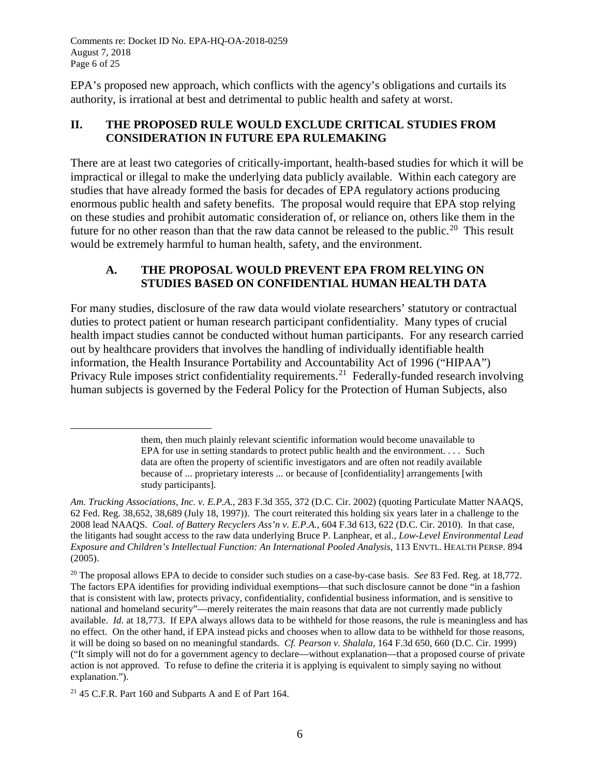Comments re: Docket ID No. EPA-HQ-OA-2018-0259 August 7, 2018 Page 6 of 25

EPA's proposed new approach, which conflicts with the agency's obligations and curtails its authority, is irrational at best and detrimental to public health and safety at worst.

## **II. THE PROPOSED RULE WOULD EXCLUDE CRITICAL STUDIES FROM CONSIDERATION IN FUTURE EPA RULEMAKING**

There are at least two categories of critically-important, health-based studies for which it will be impractical or illegal to make the underlying data publicly available. Within each category are studies that have already formed the basis for decades of EPA regulatory actions producing enormous public health and safety benefits. The proposal would require that EPA stop relying on these studies and prohibit automatic consideration of, or reliance on, others like them in the future for no other reason than that the raw data cannot be released to the public.<sup>[20](#page-11-0)</sup> This result would be extremely harmful to human health, safety, and the environment.

## **A. THE PROPOSAL WOULD PREVENT EPA FROM RELYING ON STUDIES BASED ON CONFIDENTIAL HUMAN HEALTH DATA**

For many studies, disclosure of the raw data would violate researchers' statutory or contractual duties to protect patient or human research participant confidentiality. Many types of crucial health impact studies cannot be conducted without human participants. For any research carried out by healthcare providers that involves the handling of individually identifiable health information, the Health Insurance Portability and Accountability Act of 1996 ("HIPAA") Privacy Rule imposes strict confidentiality requirements.<sup>21</sup> Federally-funded research involving human subjects is governed by the Federal Policy for the Protection of Human Subjects, also

 $\overline{a}$ 

them, then much plainly relevant scientific information would become unavailable to EPA for use in setting standards to protect public health and the environment. . . . Such data are often the property of scientific investigators and are often not readily available because of ... proprietary interests ... or because of [confidentiality] arrangements [with study participants].

*Am. Trucking Associations, Inc. v. E.P.A.*, 283 F.3d 355, 372 (D.C. Cir. 2002) (quoting Particulate Matter NAAQS, 62 Fed. Reg. 38,652, 38,689 (July 18, 1997)). The court reiterated this holding six years later in a challenge to the 2008 lead NAAQS. *Coal. of Battery Recyclers Ass'n v. E.P.A.*, 604 F.3d 613, 622 (D.C. Cir. 2010). In that case, the litigants had sought access to the raw data underlying Bruce P. Lanphear, et al., *Low-Level Environmental Lead Exposure and Children's Intellectual Function: An International Pooled Analysis*, 113 ENVTL. HEALTH PERSP. 894 (2005).

<span id="page-11-0"></span><sup>20</sup> The proposal allows EPA to decide to consider such studies on a case-by-case basis. *See* 83 Fed. Reg. at 18,772. The factors EPA identifies for providing individual exemptions—that such disclosure cannot be done "in a fashion that is consistent with law, protects privacy, confidentiality, confidential business information, and is sensitive to national and homeland security"—merely reiterates the main reasons that data are not currently made publicly available. *Id.* at 18,773. If EPA always allows data to be withheld for those reasons, the rule is meaningless and has no effect. On the other hand, if EPA instead picks and chooses when to allow data to be withheld for those reasons, it will be doing so based on no meaningful standards. *Cf. Pearson v. Shalala*, 164 F.3d 650, 660 (D.C. Cir. 1999) ("It simply will not do for a government agency to declare—without explanation—that a proposed course of private action is not approved. To refuse to define the criteria it is applying is equivalent to simply saying no without explanation.").

<span id="page-11-1"></span><sup>21</sup> 45 C.F.R. Part 160 and Subparts A and E of Part 164.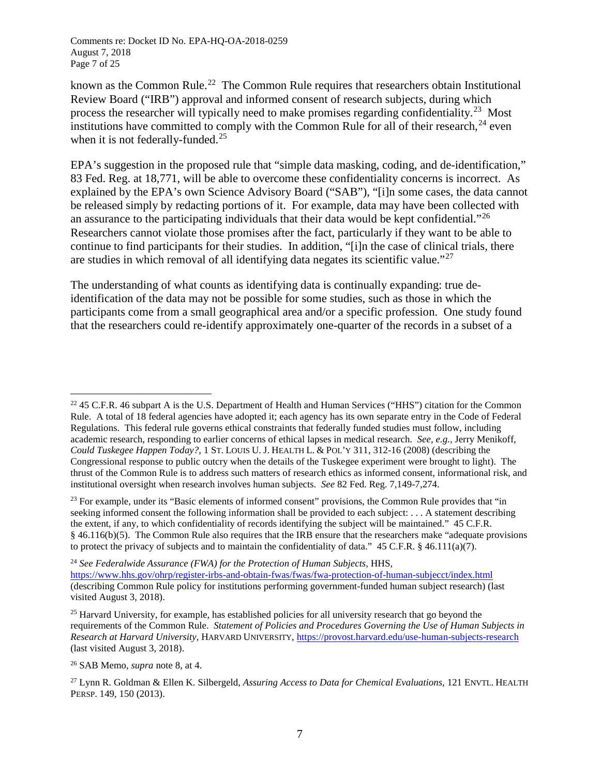known as the Common Rule.<sup>[22](#page-12-0)</sup> The Common Rule requires that researchers obtain Institutional Review Board ("IRB") approval and informed consent of research subjects, during which process the researcher will typically need to make promises regarding confidentiality.<sup>[23](#page-12-1)</sup> Most institutions have committed to comply with the Common Rule for all of their research,  $^{24}$  $^{24}$  $^{24}$  even when it is not federally-funded.<sup>[25](#page-12-3)</sup>

EPA's suggestion in the proposed rule that "simple data masking, coding, and de-identification," 83 Fed. Reg. at 18,771, will be able to overcome these confidentiality concerns is incorrect. As explained by the EPA's own Science Advisory Board ("SAB"), "[i]n some cases, the data cannot be released simply by redacting portions of it. For example, data may have been collected with an assurance to the participating individuals that their data would be kept confidential."[26](#page-12-4) Researchers cannot violate those promises after the fact, particularly if they want to be able to continue to find participants for their studies. In addition, "[i]n the case of clinical trials, there are studies in which removal of all identifying data negates its scientific value."[27](#page-12-5)

The understanding of what counts as identifying data is continually expanding: true deidentification of the data may not be possible for some studies, such as those in which the participants come from a small geographical area and/or a specific profession. One study found that the researchers could re-identify approximately one-quarter of the records in a subset of a

<span id="page-12-1"></span><sup>23</sup> For example, under its "Basic elements of informed consent" provisions, the Common Rule provides that "in seeking informed consent the following information shall be provided to each subject: . . . A statement describing the extent, if any, to which confidentiality of records identifying the subject will be maintained." 45 C.F.R. § 46.116(b)(5). The Common Rule also requires that the IRB ensure that the researchers make "adequate provisions to protect the privacy of subjects and to maintain the confidentiality of data."  $45$  C.F.R. § 46.111(a)(7).

<span id="page-12-0"></span><sup>&</sup>lt;sup>22</sup> 45 C.F.R. 46 subpart A is the U.S. Department of Health and Human Services ("HHS") citation for the Common Rule. A total of 18 federal agencies have adopted it; each agency has its own separate entry in the Code of Federal Regulations. This federal rule governs ethical constraints that federally funded studies must follow, including academic research, responding to earlier concerns of ethical lapses in medical research. *See, e.g.,* Jerry Menikoff, *Could Tuskegee Happen Today?*, 1 ST. LOUIS U. J. HEALTH L. & POL'Y 311, 312-16 (2008) (describing the Congressional response to public outcry when the details of the Tuskegee experiment were brought to light). The thrust of the Common Rule is to address such matters of research ethics as informed consent, informational risk, and institutional oversight when research involves human subjects. *See* 82 Fed. Reg. 7,149-7,274.

<span id="page-12-2"></span><sup>24</sup> *See Federalwide Assurance (FWA) for the Protection of Human Subjects*, HHS, <https://www.hhs.gov/ohrp/register-irbs-and-obtain-fwas/fwas/fwa-protection-of-human-subjecct/index.html> (describing Common Rule policy for institutions performing government-funded human subject research) (last visited August 3, 2018).

<span id="page-12-3"></span><sup>&</sup>lt;sup>25</sup> Harvard University, for example, has established policies for all university research that go beyond the requirements of the Common Rule. *Statement of Policies and Procedures Governing the Use of Human Subjects in Research at Harvard University*, HARVARD UNIVERSITY,<https://provost.harvard.edu/use-human-subjects-research> (last visited August 3, 2018).

<span id="page-12-4"></span><sup>26</sup> SAB Memo, *supra* note 8, at 4.

<span id="page-12-5"></span><sup>27</sup> Lynn R. Goldman & Ellen K. Silbergeld, *Assuring Access to Data for Chemical Evaluations*, 121 ENVTL. HEALTH PERSP. 149, 150 (2013).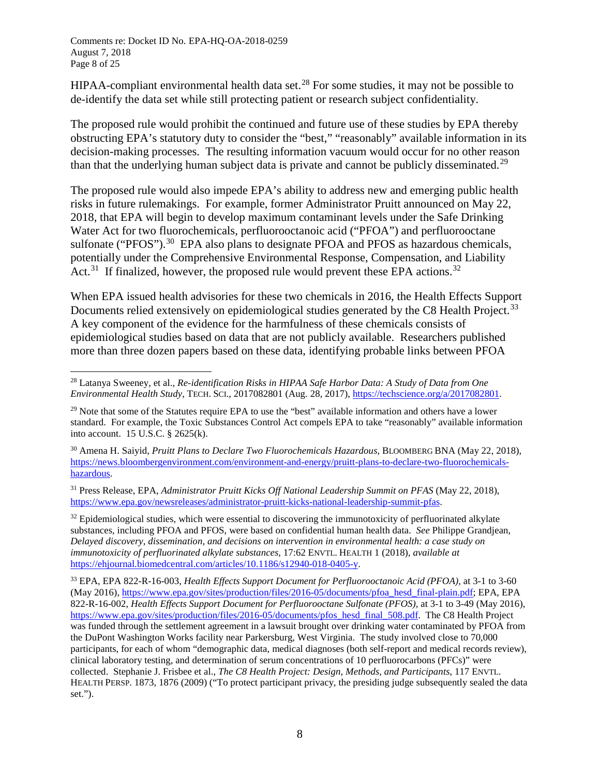Comments re: Docket ID No. EPA-HQ-OA-2018-0259 August 7, 2018 Page 8 of 25

HIPAA-compliant environmental health data set.<sup>[28](#page-13-0)</sup> For some studies, it may not be possible to de-identify the data set while still protecting patient or research subject confidentiality.

The proposed rule would prohibit the continued and future use of these studies by EPA thereby obstructing EPA's statutory duty to consider the "best," "reasonably" available information in its decision-making processes. The resulting information vacuum would occur for no other reason than that the underlying human subject data is private and cannot be publicly disseminated.<sup>[29](#page-13-1)</sup>

The proposed rule would also impede EPA's ability to address new and emerging public health risks in future rulemakings. For example, former Administrator Pruitt announced on May 22, 2018, that EPA will begin to develop maximum contaminant levels under the Safe Drinking Water Act for two fluorochemicals, perfluorooctanoic acid ("PFOA") and perfluorooctane sulfonate ("PFOS").<sup>30</sup> EPA also plans to designate PFOA and PFOS as hazardous chemicals, potentially under the Comprehensive Environmental Response, Compensation, and Liability Act.<sup>[31](#page-13-3)</sup> If finalized, however, the proposed rule would prevent these EPA actions.<sup>[32](#page-13-4)</sup>

When EPA issued health advisories for these two chemicals in 2016, the Health Effects Support Documents relied extensively on epidemiological studies generated by the C8 Health Project.<sup>[33](#page-13-5)</sup> A key component of the evidence for the harmfulness of these chemicals consists of epidemiological studies based on data that are not publicly available. Researchers published more than three dozen papers based on these data, identifying probable links between PFOA

<span id="page-13-2"></span><sup>30</sup> Amena H. Saiyid, *Pruitt Plans to Declare Two Fluorochemicals Hazardous*, BLOOMBERG BNA (May 22, 2018), [https://news.bloombergenvironment.com/environment-and-energy/pruitt-plans-to-declare-two-fluorochemicals](https://news.bloombergenvironment.com/environment-and-energy/pruitt-plans-to-declare-two-fluorochemicals-hazardous)[hazardous.](https://news.bloombergenvironment.com/environment-and-energy/pruitt-plans-to-declare-two-fluorochemicals-hazardous)

<span id="page-13-3"></span><sup>31</sup> Press Release, EPA, *Administrator Pruitt Kicks Off National Leadership Summit on PFAS* (May 22, 2018), [https://www.epa.gov/newsreleases/administrator-pruitt-kicks-national-leadership-summit-pfas.](https://www.epa.gov/newsreleases/administrator-pruitt-kicks-national-leadership-summit-pfas)

<span id="page-13-4"></span> $32$  Epidemiological studies, which were essential to discovering the immunotoxicity of perfluorinated alkylate substances, including PFOA and PFOS, were based on confidential human health data. *See* Philippe Grandjean, *Delayed discovery, dissemination, and decisions on intervention in environmental health: a case study on immunotoxicity of perfluorinated alkylate substances*, 17:62 ENVTL. HEALTH 1 (2018), *available at* [https://ehjournal.biomedcentral.com/articles/10.1186/s12940-018-0405-y.](https://ehjournal.biomedcentral.com/articles/10.1186/s12940-018-0405-y)

<span id="page-13-5"></span><sup>33</sup> EPA, EPA 822-R-16-003, *Health Effects Support Document for Perfluorooctanoic Acid (PFOA),* at 3-1 to 3-60 (May 2016)[, https://www.epa.gov/sites/production/files/2016-05/documents/pfoa\\_hesd\\_final-plain.pdf;](https://www.epa.gov/sites/production/files/2016-05/documents/pfoa_hesd_final-plain.pdf) EPA, EPA 822-R-16-002, *Health Effects Support Document for Perfluorooctane Sulfonate (PFOS),* at 3-1 to 3-49 (May 2016), [https://www.epa.gov/sites/production/files/2016-05/documents/pfos\\_hesd\\_final\\_508.pdf.](https://www.epa.gov/sites/production/files/2016-05/documents/pfos_hesd_final_508.pdf) The C8 Health Project was funded through the settlement agreement in a lawsuit brought over drinking water contaminated by PFOA from the DuPont Washington Works facility near Parkersburg, West Virginia. The study involved close to 70,000 participants, for each of whom "demographic data, medical diagnoses (both self-report and medical records review), clinical laboratory testing, and determination of serum concentrations of 10 perfluorocarbons (PFCs)" were collected. Stephanie J. Frisbee et al., *The C8 Health Project: Design, Methods, and Participants*, 117 ENVTL. HEALTH PERSP. 1873, 1876 (2009) ("To protect participant privacy, the presiding judge subsequently sealed the data set.").

<span id="page-13-0"></span> <sup>28</sup> Latanya Sweeney, et al., *Re-identification Risks in HIPAA Safe Harbor Data: A Study of Data from One Environmental Health Study*, TECH. SCI., 2017082801 (Aug. 28, 2017), [https://techscience.org/a/2017082801.](https://techscience.org/a/2017082801)

<span id="page-13-1"></span><sup>&</sup>lt;sup>29</sup> Note that some of the Statutes require EPA to use the "best" available information and others have a lower standard. For example, the Toxic Substances Control Act compels EPA to take "reasonably" available information into account. 15 U.S.C. § 2625(k).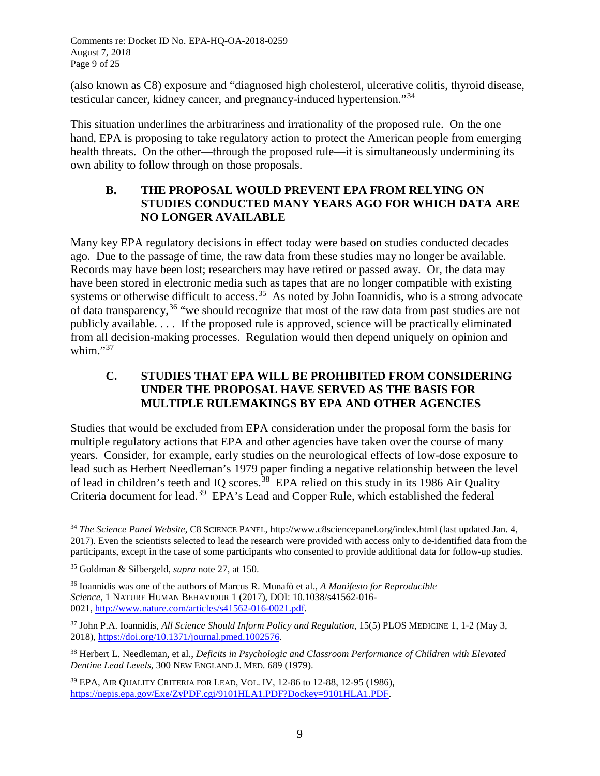Comments re: Docket ID No. EPA-HQ-OA-2018-0259 August 7, 2018 Page 9 of 25

(also known as C8) exposure and "diagnosed high cholesterol, ulcerative colitis, thyroid disease, testicular cancer, kidney cancer, and pregnancy-induced hypertension."[34](#page-14-0)

This situation underlines the arbitrariness and irrationality of the proposed rule. On the one hand, EPA is proposing to take regulatory action to protect the American people from emerging health threats. On the other—through the proposed rule—it is simultaneously undermining its own ability to follow through on those proposals.

## **B. THE PROPOSAL WOULD PREVENT EPA FROM RELYING ON STUDIES CONDUCTED MANY YEARS AGO FOR WHICH DATA ARE NO LONGER AVAILABLE**

Many key EPA regulatory decisions in effect today were based on studies conducted decades ago. Due to the passage of time, the raw data from these studies may no longer be available. Records may have been lost; researchers may have retired or passed away. Or, the data may have been stored in electronic media such as tapes that are no longer compatible with existing systems or otherwise difficult to access.<sup>35</sup> As noted by John Ioannidis, who is a strong advocate of data transparency,  $36$  "we should recognize that most of the raw data from past studies are not publicly available. . . . If the proposed rule is approved, science will be practically eliminated from all decision-making processes. Regulation would then depend uniquely on opinion and whim."<sup>[37](#page-14-3)</sup>

## **C. STUDIES THAT EPA WILL BE PROHIBITED FROM CONSIDERING UNDER THE PROPOSAL HAVE SERVED AS THE BASIS FOR MULTIPLE RULEMAKINGS BY EPA AND OTHER AGENCIES**

Studies that would be excluded from EPA consideration under the proposal form the basis for multiple regulatory actions that EPA and other agencies have taken over the course of many years. Consider, for example, early studies on the neurological effects of low-dose exposure to lead such as Herbert Needleman's 1979 paper finding a negative relationship between the level of lead in children's teeth and IQ scores.<sup>[38](#page-14-4)</sup> EPA relied on this study in its 1986 Air Quality Criteria document for lead.<sup>39</sup> EPA's Lead and Copper Rule, which established the federal

<span id="page-14-0"></span> <sup>34</sup> *The Science Panel Website*, C8 SCIENCE PANEL, http://www.c8sciencepanel.org/index.html (last updated Jan. 4, 2017). Even the scientists selected to lead the research were provided with access only to de-identified data from the participants, except in the case of some participants who consented to provide additional data for follow-up studies.

<span id="page-14-1"></span><sup>35</sup> Goldman & Silbergeld, *supra* note 27, at 150.

<span id="page-14-2"></span><sup>36</sup> Ioannidis was one of the authors of Marcus R. Munafò et al., *A Manifesto for Reproducible Science*, 1 NATURE HUMAN BEHAVIOUR 1 (2017), DOI: 10.1038/s41562-016- 0021, [http://www.nature.com/articles/s41562-016-0021.pdf.](http://www.nature.com/articles/s41562-016-0021.pdf)

<span id="page-14-3"></span><sup>&</sup>lt;sup>37</sup> John P.A. Ioannidis, *All Science Should Inform Policy and Regulation*, 15(5) PLOS MEDICINE 1, 1-2 (May 3, 2018), [https://doi.org/10.1371/journal.pmed.1002576.](https://doi.org/10.1371/journal.pmed.1002576)

<span id="page-14-4"></span><sup>38</sup> Herbert L. Needleman, et al., *Deficits in Psychologic and Classroom Performance of Children with Elevated Dentine Lead Levels*, 300 NEW ENGLAND J. MED. 689 (1979).

<span id="page-14-5"></span><sup>39</sup> EPA, AIR QUALITY CRITERIA FOR LEAD, VOL. IV, 12-86 to 12-88, 12-95 (1986), [https://nepis.epa.gov/Exe/ZyPDF.cgi/9101HLA1.PDF?Dockey=9101HLA1.PDF.](https://nepis.epa.gov/Exe/ZyPDF.cgi/9101HLA1.PDF?Dockey=9101HLA1.PDF)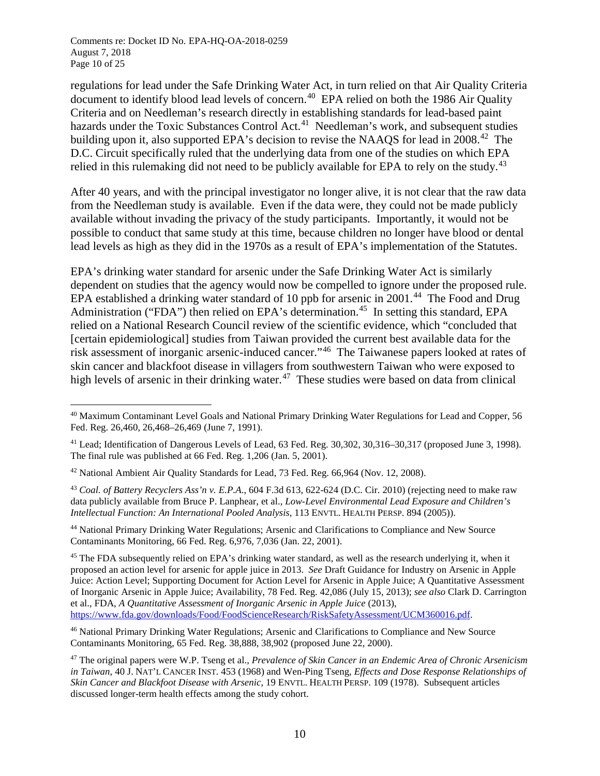regulations for lead under the Safe Drinking Water Act, in turn relied on that Air Quality Criteria document to identify blood lead levels of concern.<sup>40</sup> EPA relied on both the 1986 Air Quality Criteria and on Needleman's research directly in establishing standards for lead-based paint hazards under the Toxic Substances Control Act.<sup>41</sup> Needleman's work, and subsequent studies building upon it, also supported EPA's decision to revise the NAAOS for lead in 2008.<sup>42</sup> The D.C. Circuit specifically ruled that the underlying data from one of the studies on which EPA relied in this rulemaking did not need to be publicly available for EPA to rely on the study.<sup>[43](#page-15-3)</sup>

After 40 years, and with the principal investigator no longer alive, it is not clear that the raw data from the Needleman study is available. Even if the data were, they could not be made publicly available without invading the privacy of the study participants. Importantly, it would not be possible to conduct that same study at this time, because children no longer have blood or dental lead levels as high as they did in the 1970s as a result of EPA's implementation of the Statutes.

EPA's drinking water standard for arsenic under the Safe Drinking Water Act is similarly dependent on studies that the agency would now be compelled to ignore under the proposed rule. EPA established a drinking water standard of 10 ppb for arsenic in 2001.<sup>[44](#page-15-4)</sup> The Food and Drug Administration ("FDA") then relied on EPA's determination.<sup>45</sup> In setting this standard, EPA relied on a National Research Council review of the scientific evidence, which "concluded that [certain epidemiological] studies from Taiwan provided the current best available data for the risk assessment of inorganic arsenic-induced cancer."[46](#page-15-6) The Taiwanese papers looked at rates of skin cancer and blackfoot disease in villagers from southwestern Taiwan who were exposed to high levels of arsenic in their drinking water.<sup>47</sup> These studies were based on data from clinical

<span id="page-15-4"></span><sup>44</sup> National Primary Drinking Water Regulations; Arsenic and Clarifications to Compliance and New Source Contaminants Monitoring, 66 Fed. Reg. 6,976, 7,036 (Jan. 22, 2001).

<span id="page-15-5"></span><sup>45</sup> The FDA subsequently relied on EPA's drinking water standard, as well as the research underlying it, when it proposed an action level for arsenic for apple juice in 2013. *See* Draft Guidance for Industry on Arsenic in Apple Juice: Action Level; Supporting Document for Action Level for Arsenic in Apple Juice; A Quantitative Assessment of Inorganic Arsenic in Apple Juice; Availability, 78 Fed. Reg. 42,086 (July 15, 2013); *see also* Clark D. Carrington et al., FDA, *A Quantitative Assessment of Inorganic Arsenic in Apple Juice* (2013), [https://www.fda.gov/downloads/Food/FoodScienceResearch/RiskSafetyAssessment/UCM360016.pdf.](https://www.fda.gov/downloads/Food/FoodScienceResearch/RiskSafetyAssessment/UCM360016.pdf)

<span id="page-15-6"></span><sup>46</sup> National Primary Drinking Water Regulations; Arsenic and Clarifications to Compliance and New Source Contaminants Monitoring, 65 Fed. Reg. 38,888, 38,902 (proposed June 22, 2000).

<span id="page-15-0"></span> <sup>40</sup> Maximum Contaminant Level Goals and National Primary Drinking Water Regulations for Lead and Copper, 56 Fed. Reg. 26,460, 26,468–26,469 (June 7, 1991).

<span id="page-15-1"></span> $^{41}$  Lead; Identification of Dangerous Levels of Lead, 63 Fed. Reg. 30,302, 30,316–30,317 (proposed June 3, 1998). The final rule was published at 66 Fed. Reg. 1,206 (Jan. 5, 2001).

<span id="page-15-2"></span><sup>42</sup> National Ambient Air Quality Standards for Lead, 73 Fed. Reg. 66,964 (Nov. 12, 2008).

<span id="page-15-3"></span><sup>43</sup> *Coal. of Battery Recyclers Ass'n v. E.P.A.*, 604 F.3d 613, 622-624 (D.C. Cir. 2010) (rejecting need to make raw data publicly available from Bruce P. Lanphear, et al., *Low-Level Environmental Lead Exposure and Children's Intellectual Function: An International Pooled Analysis*, 113 ENVTL. HEALTH PERSP. 894 (2005)).

<span id="page-15-7"></span><sup>47</sup> The original papers were W.P. Tseng et al., *Prevalence of Skin Cancer in an Endemic Area of Chronic Arsenicism in Taiwan*, 40 J. NAT'L CANCER INST. 453 (1968) and Wen-Ping Tseng, *Effects and Dose Response Relationships of Skin Cancer and Blackfoot Disease with Arsenic*, 19 ENVTL. HEALTH PERSP. 109 (1978). Subsequent articles discussed longer-term health effects among the study cohort.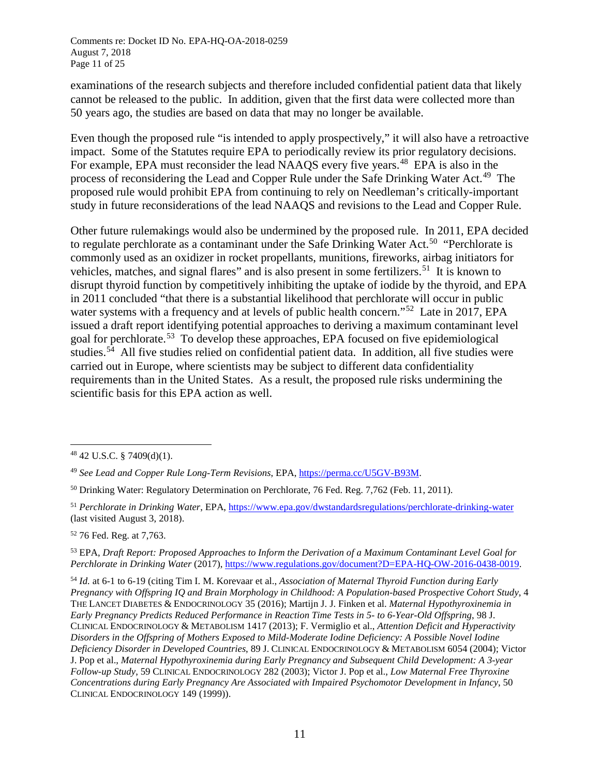examinations of the research subjects and therefore included confidential patient data that likely cannot be released to the public. In addition, given that the first data were collected more than 50 years ago, the studies are based on data that may no longer be available.

Even though the proposed rule "is intended to apply prospectively," it will also have a retroactive impact. Some of the Statutes require EPA to periodically review its prior regulatory decisions. For example, EPA must reconsider the lead NAAQS every five years.<sup>48</sup> EPA is also in the process of reconsidering the Lead and Copper Rule under the Safe Drinking Water Act.<sup>[49](#page-16-1)</sup> The proposed rule would prohibit EPA from continuing to rely on Needleman's critically-important study in future reconsiderations of the lead NAAQS and revisions to the Lead and Copper Rule.

Other future rulemakings would also be undermined by the proposed rule. In 2011, EPA decided to regulate perchlorate as a contaminant under the Safe Drinking Water Act.<sup>50</sup> "Perchlorate is commonly used as an oxidizer in rocket propellants, munitions, fireworks, airbag initiators for vehicles, matches, and signal flares" and is also present in some fertilizers.<sup>[51](#page-16-3)</sup> It is known to disrupt thyroid function by competitively inhibiting the uptake of iodide by the thyroid, and EPA in 2011 concluded "that there is a substantial likelihood that perchlorate will occur in public water systems with a frequency and at levels of public health concern."<sup>52</sup> Late in 2017, EPA issued a draft report identifying potential approaches to deriving a maximum contaminant level goal for perchlorate. [53](#page-16-5) To develop these approaches, EPA focused on five epidemiological studies.<sup>[54](#page-16-6)</sup> All five studies relied on confidential patient data. In addition, all five studies were carried out in Europe, where scientists may be subject to different data confidentiality requirements than in the United States. As a result, the proposed rule risks undermining the scientific basis for this EPA action as well.

<span id="page-16-4"></span><sup>52</sup> 76 Fed. Reg. at 7,763.

<span id="page-16-5"></span><sup>53</sup> EPA, *Draft Report: Proposed Approaches to Inform the Derivation of a Maximum Contaminant Level Goal for Perchlorate in Drinking Water* (2017)[, https://www.regulations.gov/document?D=EPA-HQ-OW-2016-0438-0019.](https://www.regulations.gov/document?D=EPA-HQ-OW-2016-0438-0019)

<span id="page-16-6"></span><sup>54</sup> *Id.* at 6-1 to 6-19 (citing Tim I. M. Korevaar et al., *Association of Maternal Thyroid Function during Early Pregnancy with Offspring IQ and Brain Morphology in Childhood: A Population-based Prospective Cohort Study*, 4 THE LANCET DIABETES & ENDOCRINOLOGY 35 (2016); Martijn J. J. Finken et al. *Maternal Hypothyroxinemia in Early Pregnancy Predicts Reduced Performance in Reaction Time Tests in 5- to 6-Year-Old Offspring*, 98 J. CLINICAL ENDOCRINOLOGY & METABOLISM 1417 (2013); F. Vermiglio et al., *Attention Deficit and Hyperactivity Disorders in the Offspring of Mothers Exposed to Mild-Moderate Iodine Deficiency: A Possible Novel Iodine Deficiency Disorder in Developed Countries*, 89 J. CLINICAL ENDOCRINOLOGY & METABOLISM 6054 (2004); Victor J. Pop et al., *Maternal Hypothyroxinemia during Early Pregnancy and Subsequent Child Development: A 3-year Follow-up Study*, 59 CLINICAL ENDOCRINOLOGY 282 (2003); Victor J. Pop et al., *Low Maternal Free Thyroxine Concentrations during Early Pregnancy Are Associated with Impaired Psychomotor Development in Infancy*, 50 CLINICAL ENDOCRINOLOGY 149 (1999)).

<span id="page-16-0"></span> <sup>48</sup> 42 U.S.C. § 7409(d)(1).

<span id="page-16-1"></span><sup>49</sup> *See Lead and Copper Rule Long-Term Revisions*, EPA, [https://perma.cc/U5GV-B93M.](https://perma.cc/U5GV-B93M)

<span id="page-16-2"></span><sup>&</sup>lt;sup>50</sup> Drinking Water: Regulatory Determination on Perchlorate, 76 Fed. Reg. 7,762 (Feb. 11, 2011).

<span id="page-16-3"></span><sup>51</sup> *Perchlorate in Drinking Water*, EPA,<https://www.epa.gov/dwstandardsregulations/perchlorate-drinking-water> (last visited August 3, 2018).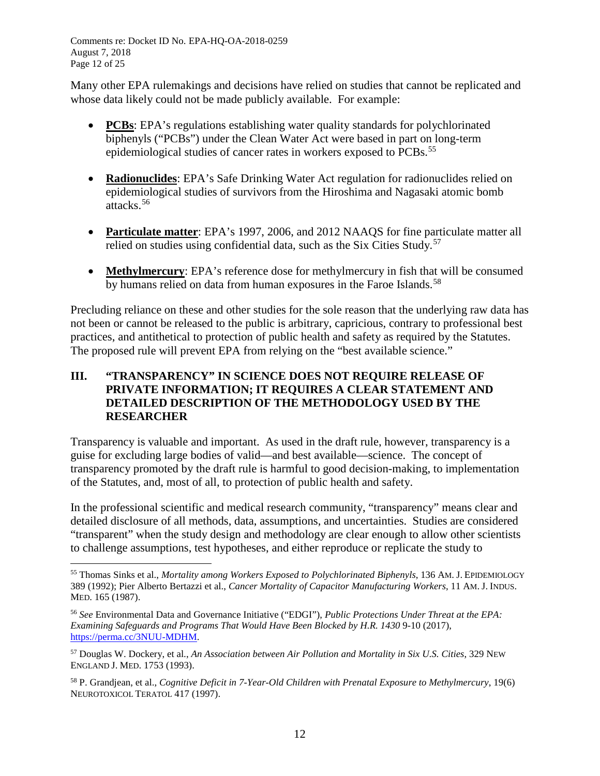Comments re: Docket ID No. EPA-HQ-OA-2018-0259 August 7, 2018 Page 12 of 25

Many other EPA rulemakings and decisions have relied on studies that cannot be replicated and whose data likely could not be made publicly available. For example:

- **PCBs**: EPA's regulations establishing water quality standards for polychlorinated biphenyls ("PCBs") under the Clean Water Act were based in part on long-term epidemiological studies of cancer rates in workers exposed to PCBs.<sup>[55](#page-17-0)</sup>
- **Radionuclides**: EPA's Safe Drinking Water Act regulation for radionuclides relied on epidemiological studies of survivors from the Hiroshima and Nagasaki atomic bomb attacks. [56](#page-17-1)
- **Particulate matter**: EPA's 1997, 2006, and 2012 NAAQS for fine particulate matter all relied on studies using confidential data, such as the Six Cities Study.<sup>[57](#page-17-2)</sup>
- **Methylmercury**: EPA's reference dose for methylmercury in fish that will be consumed by humans relied on data from human exposures in the Faroe Islands.<sup>[58](#page-17-3)</sup>

Precluding reliance on these and other studies for the sole reason that the underlying raw data has not been or cannot be released to the public is arbitrary, capricious, contrary to professional best practices, and antithetical to protection of public health and safety as required by the Statutes. The proposed rule will prevent EPA from relying on the "best available science."

## **III. "TRANSPARENCY" IN SCIENCE DOES NOT REQUIRE RELEASE OF PRIVATE INFORMATION; IT REQUIRES A CLEAR STATEMENT AND DETAILED DESCRIPTION OF THE METHODOLOGY USED BY THE RESEARCHER**

Transparency is valuable and important. As used in the draft rule, however, transparency is a guise for excluding large bodies of valid—and best available—science. The concept of transparency promoted by the draft rule is harmful to good decision-making, to implementation of the Statutes, and, most of all, to protection of public health and safety.

In the professional scientific and medical research community, "transparency" means clear and detailed disclosure of all methods, data, assumptions, and uncertainties. Studies are considered "transparent" when the study design and methodology are clear enough to allow other scientists to challenge assumptions, test hypotheses, and either reproduce or replicate the study to

<span id="page-17-0"></span> <sup>55</sup> Thomas Sinks et al., *Mortality among Workers Exposed to Polychlorinated Biphenyls*, 136 AM. J. EPIDEMIOLOGY 389 (1992); Pier Alberto Bertazzi et al., *Cancer Mortality of Capacitor Manufacturing Workers*, 11 AM. J. INDUS. MED. 165 (1987).

<span id="page-17-1"></span><sup>56</sup> *See* Environmental Data and Governance Initiative ("EDGI"), *Public Protections Under Threat at the EPA: Examining Safeguards and Programs That Would Have Been Blocked by H.R. 1430* 9-10 (2017), [https://perma.cc/3NUU-MDHM.](https://perma.cc/3NUU-MDHM)

<span id="page-17-2"></span><sup>57</sup> Douglas W. Dockery, et al., *An Association between Air Pollution and Mortality in Six U.S. Cities*, 329 NEW ENGLAND J. MED. 1753 (1993).

<span id="page-17-3"></span><sup>58</sup> P. Grandjean, et al., *Cognitive Deficit in 7-Year-Old Children with Prenatal Exposure to Methylmercury*, 19(6) NEUROTOXICOL TERATOL 417 (1997).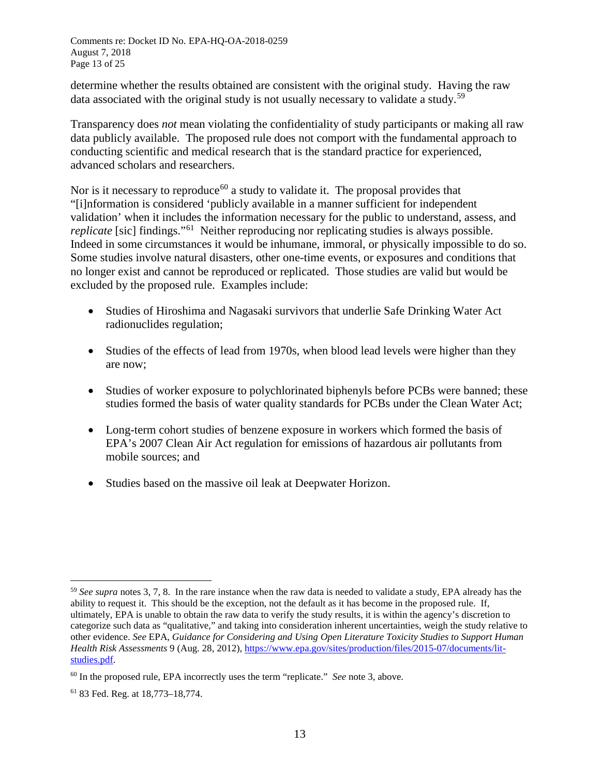determine whether the results obtained are consistent with the original study. Having the raw data associated with the original study is not usually necessary to validate a study.<sup>[59](#page-18-0)</sup>

Transparency does *not* mean violating the confidentiality of study participants or making all raw data publicly available. The proposed rule does not comport with the fundamental approach to conducting scientific and medical research that is the standard practice for experienced, advanced scholars and researchers.

Nor is it necessary to reproduce<sup>[60](#page-18-1)</sup> a study to validate it. The proposal provides that "[i]nformation is considered 'publicly available in a manner sufficient for independent validation' when it includes the information necessary for the public to understand, assess, and *replicate* [sic] findings."<sup>[61](#page-18-2)</sup> Neither reproducing nor replicating studies is always possible. Indeed in some circumstances it would be inhumane, immoral, or physically impossible to do so. Some studies involve natural disasters, other one-time events, or exposures and conditions that no longer exist and cannot be reproduced or replicated. Those studies are valid but would be excluded by the proposed rule. Examples include:

- Studies of Hiroshima and Nagasaki survivors that underlie Safe Drinking Water Act radionuclides regulation;
- Studies of the effects of lead from 1970s, when blood lead levels were higher than they are now;
- Studies of worker exposure to polychlorinated biphenyls before PCBs were banned; these studies formed the basis of water quality standards for PCBs under the Clean Water Act;
- Long-term cohort studies of benzene exposure in workers which formed the basis of EPA's 2007 Clean Air Act regulation for emissions of hazardous air pollutants from mobile sources; and
- Studies based on the massive oil leak at Deepwater Horizon.

<span id="page-18-0"></span> <sup>59</sup> *See supra* notes 3, 7, 8. In the rare instance when the raw data is needed to validate a study, EPA already has the ability to request it. This should be the exception, not the default as it has become in the proposed rule. If, ultimately, EPA is unable to obtain the raw data to verify the study results, it is within the agency's discretion to categorize such data as "qualitative," and taking into consideration inherent uncertainties, weigh the study relative to other evidence. *See* EPA, *Guidance for Considering and Using Open Literature Toxicity Studies to Support Human Health Risk Assessments* 9 (Aug. 28, 2012), [https://www.epa.gov/sites/production/files/2015-07/documents/lit](https://www.epa.gov/sites/production/files/2015-07/documents/lit-studies.pdf)[studies.pdf.](https://www.epa.gov/sites/production/files/2015-07/documents/lit-studies.pdf)

<span id="page-18-1"></span><sup>60</sup> In the proposed rule, EPA incorrectly uses the term "replicate." *See* note 3, above.

<span id="page-18-2"></span><sup>61</sup> 83 Fed. Reg. at 18,773–18,774.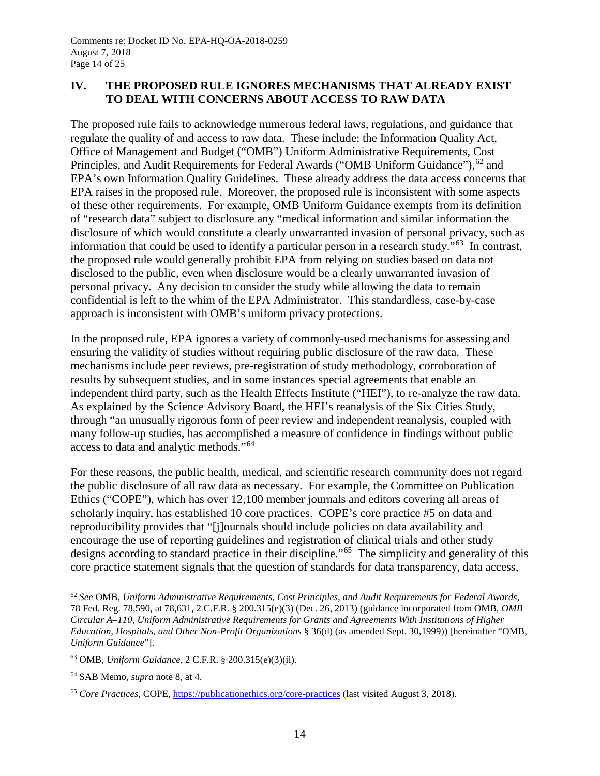## **IV. THE PROPOSED RULE IGNORES MECHANISMS THAT ALREADY EXIST TO DEAL WITH CONCERNS ABOUT ACCESS TO RAW DATA**

The proposed rule fails to acknowledge numerous federal laws, regulations, and guidance that regulate the quality of and access to raw data. These include: the Information Quality Act, Office of Management and Budget ("OMB") Uniform Administrative Requirements, Cost Principles, and Audit Requirements for Federal Awards ("OMB Uniform Guidance"), <sup>[62](#page-19-0)</sup> and EPA's own Information Quality Guidelines. These already address the data access concerns that EPA raises in the proposed rule. Moreover, the proposed rule is inconsistent with some aspects of these other requirements. For example, OMB Uniform Guidance exempts from its definition of "research data" subject to disclosure any "medical information and similar information the disclosure of which would constitute a clearly unwarranted invasion of personal privacy, such as information that could be used to identify a particular person in a research study."<sup>[63](#page-19-1)</sup> In contrast, the proposed rule would generally prohibit EPA from relying on studies based on data not disclosed to the public, even when disclosure would be a clearly unwarranted invasion of personal privacy. Any decision to consider the study while allowing the data to remain confidential is left to the whim of the EPA Administrator. This standardless, case-by-case approach is inconsistent with OMB's uniform privacy protections.

In the proposed rule, EPA ignores a variety of commonly-used mechanisms for assessing and ensuring the validity of studies without requiring public disclosure of the raw data. These mechanisms include peer reviews, pre-registration of study methodology, corroboration of results by subsequent studies, and in some instances special agreements that enable an independent third party, such as the Health Effects Institute ("HEI"), to re-analyze the raw data. As explained by the Science Advisory Board, the HEI's reanalysis of the Six Cities Study, through "an unusually rigorous form of peer review and independent reanalysis, coupled with many follow-up studies, has accomplished a measure of confidence in findings without public access to data and analytic methods."[64](#page-19-2)

For these reasons, the public health, medical, and scientific research community does not regard the public disclosure of all raw data as necessary. For example, the Committee on Publication Ethics ("COPE"), which has over 12,100 member journals and editors covering all areas of scholarly inquiry, has established 10 core practices. COPE's core practice #5 on data and reproducibility provides that "[j]ournals should include policies on data availability and encourage the use of reporting guidelines and registration of clinical trials and other study designs according to standard practice in their discipline."<sup>[65](#page-19-3)</sup> The simplicity and generality of this core practice statement signals that the question of standards for data transparency, data access,

<span id="page-19-0"></span> <sup>62</sup> *See* OMB, *Uniform Administrative Requirements, Cost Principles, and Audit Requirements for Federal Awards*, 78 Fed. Reg. 78,590, at 78,631, 2 C.F.R. § 200.315(e)(3) (Dec. 26, 2013) (guidance incorporated from OMB, *OMB Circular A–110, Uniform Administrative Requirements for Grants and Agreements With Institutions of Higher Education, Hospitals, and Other Non-Profit Organizations* § 36(d) (as amended Sept. 30,1999)) [hereinafter "OMB, *Uniform Guidance*"].

<span id="page-19-1"></span><sup>63</sup> OMB, *Uniform Guidance*, 2 C.F.R. § 200.315(e)(3)(ii).

<span id="page-19-2"></span><sup>64</sup> SAB Memo, *supra* note 8, at 4.

<span id="page-19-3"></span><sup>65</sup> *Core Practices*, COPE,<https://publicationethics.org/core-practices> (last visited August 3, 2018).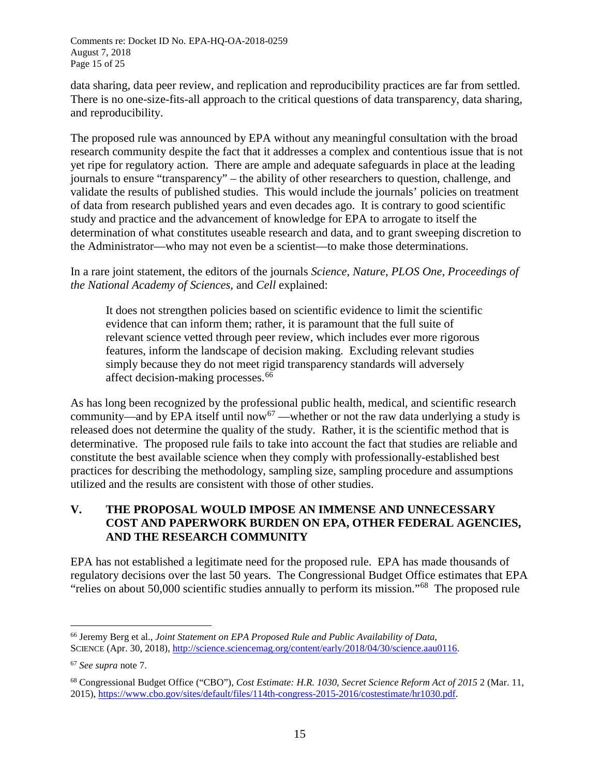Comments re: Docket ID No. EPA-HQ-OA-2018-0259 August 7, 2018 Page 15 of 25

data sharing, data peer review, and replication and reproducibility practices are far from settled. There is no one-size-fits-all approach to the critical questions of data transparency, data sharing, and reproducibility.

The proposed rule was announced by EPA without any meaningful consultation with the broad research community despite the fact that it addresses a complex and contentious issue that is not yet ripe for regulatory action. There are ample and adequate safeguards in place at the leading journals to ensure "transparency" – the ability of other researchers to question, challenge, and validate the results of published studies. This would include the journals' policies on treatment of data from research published years and even decades ago. It is contrary to good scientific study and practice and the advancement of knowledge for EPA to arrogate to itself the determination of what constitutes useable research and data, and to grant sweeping discretion to the Administrator—who may not even be a scientist—to make those determinations.

In a rare joint statement, the editors of the journals *Science*, *Nature*, *PLOS One*, *Proceedings of the National Academy of Sciences*, and *Cell* explained:

It does not strengthen policies based on scientific evidence to limit the scientific evidence that can inform them; rather, it is paramount that the full suite of relevant science vetted through peer review, which includes ever more rigorous features, inform the landscape of decision making. Excluding relevant studies simply because they do not meet rigid transparency standards will adversely affect decision-making processes.<sup>[66](#page-20-0)</sup>

As has long been recognized by the professional public health, medical, and scientific research community—and by EPA itself until now<sup>[67](#page-20-1)</sup> —whether or not the raw data underlying a study is released does not determine the quality of the study. Rather, it is the scientific method that is determinative. The proposed rule fails to take into account the fact that studies are reliable and constitute the best available science when they comply with professionally-established best practices for describing the methodology, sampling size, sampling procedure and assumptions utilized and the results are consistent with those of other studies.

## **V. THE PROPOSAL WOULD IMPOSE AN IMMENSE AND UNNECESSARY COST AND PAPERWORK BURDEN ON EPA, OTHER FEDERAL AGENCIES, AND THE RESEARCH COMMUNITY**

EPA has not established a legitimate need for the proposed rule. EPA has made thousands of regulatory decisions over the last 50 years. The Congressional Budget Office estimates that EPA "relies on about 50,000 scientific studies annually to perform its mission."[68](#page-20-2) The proposed rule

<span id="page-20-0"></span> <sup>66</sup> Jeremy Berg et al., *Joint Statement on EPA Proposed Rule and Public Availability of Data*, SCIENCE (Apr. 30, 2018), [http://science.sciencemag.org/content/early/2018/04/30/science.aau0116.](http://science.sciencemag.org/content/early/2018/04/30/science.aau0116)

<span id="page-20-1"></span><sup>67</sup> *See supra* note 7.

<span id="page-20-2"></span><sup>68</sup> Congressional Budget Office ("CBO"), *Cost Estimate: H.R. 1030, Secret Science Reform Act of 2015* 2 (Mar. 11, 2015), [https://www.cbo.gov/sites/default/files/114th-congress-2015-2016/costestimate/hr1030.pdf.](https://www.cbo.gov/sites/default/files/114th-congress-2015-2016/costestimate/hr1030.pdf)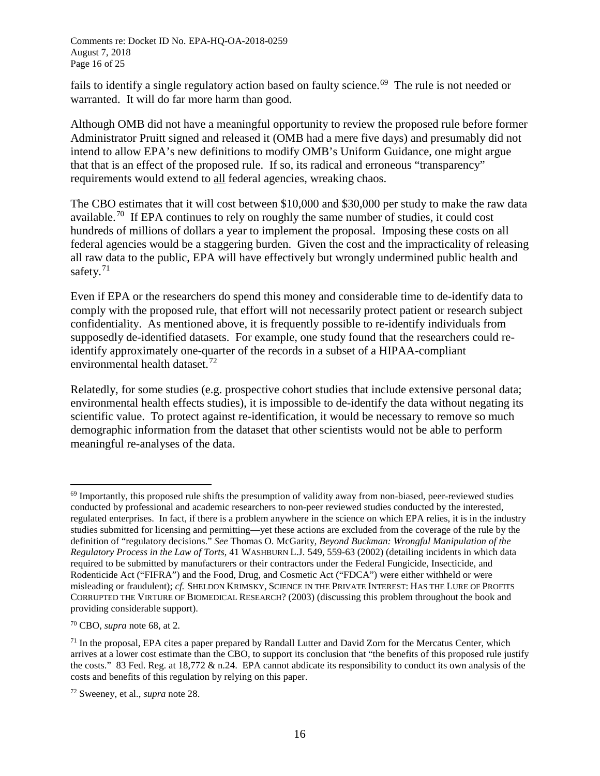Comments re: Docket ID No. EPA-HQ-OA-2018-0259 August 7, 2018 Page 16 of 25

fails to identify a single regulatory action based on faulty science.<sup>[69](#page-21-0)</sup> The rule is not needed or warranted. It will do far more harm than good.

Although OMB did not have a meaningful opportunity to review the proposed rule before former Administrator Pruitt signed and released it (OMB had a mere five days) and presumably did not intend to allow EPA's new definitions to modify OMB's Uniform Guidance, one might argue that that is an effect of the proposed rule. If so, its radical and erroneous "transparency" requirements would extend to all federal agencies, wreaking chaos.

The CBO estimates that it will cost between \$10,000 and \$30,000 per study to make the raw data available.<sup>70</sup> If EPA continues to rely on roughly the same number of studies, it could cost hundreds of millions of dollars a year to implement the proposal. Imposing these costs on all federal agencies would be a staggering burden. Given the cost and the impracticality of releasing all raw data to the public, EPA will have effectively but wrongly undermined public health and safety.<sup>[71](#page-21-2)</sup>

Even if EPA or the researchers do spend this money and considerable time to de-identify data to comply with the proposed rule, that effort will not necessarily protect patient or research subject confidentiality. As mentioned above, it is frequently possible to re-identify individuals from supposedly de-identified datasets. For example, one study found that the researchers could reidentify approximately one-quarter of the records in a subset of a HIPAA-compliant environmental health dataset.<sup>[72](#page-21-3)</sup>

Relatedly, for some studies (e.g. prospective cohort studies that include extensive personal data; environmental health effects studies), it is impossible to de-identify the data without negating its scientific value. To protect against re-identification, it would be necessary to remove so much demographic information from the dataset that other scientists would not be able to perform meaningful re-analyses of the data.

<span id="page-21-0"></span> $69$  Importantly, this proposed rule shifts the presumption of validity away from non-biased, peer-reviewed studies conducted by professional and academic researchers to non-peer reviewed studies conducted by the interested, regulated enterprises. In fact, if there is a problem anywhere in the science on which EPA relies, it is in the industry studies submitted for licensing and permitting—yet these actions are excluded from the coverage of the rule by the definition of "regulatory decisions." *See* Thomas O. McGarity, *Beyond Buckman: Wrongful Manipulation of the Regulatory Process in the Law of Torts*, 41 WASHBURN L.J. 549, 559-63 (2002) (detailing incidents in which data required to be submitted by manufacturers or their contractors under the Federal Fungicide, Insecticide, and Rodenticide Act ("FIFRA") and the Food, Drug, and Cosmetic Act ("FDCA") were either withheld or were misleading or fraudulent); *cf.* SHELDON KRIMSKY, SCIENCE IN THE PRIVATE INTEREST: HAS THE LURE OF PROFITS CORRUPTED THE VIRTURE OF BIOMEDICAL RESEARCH? (2003) (discussing this problem throughout the book and providing considerable support).

<span id="page-21-1"></span><sup>70</sup> CBO, *supra* note 68, at 2.

<span id="page-21-2"></span> $71$  In the proposal, EPA cites a paper prepared by Randall Lutter and David Zorn for the Mercatus Center, which arrives at a lower cost estimate than the CBO, to support its conclusion that "the benefits of this proposed rule justify the costs." 83 Fed. Reg. at 18,772  $\&$  n.24. EPA cannot abdicate its responsibility to conduct its own analysis of the costs and benefits of this regulation by relying on this paper.

<span id="page-21-3"></span><sup>72</sup> Sweeney, et al., *supra* note 28.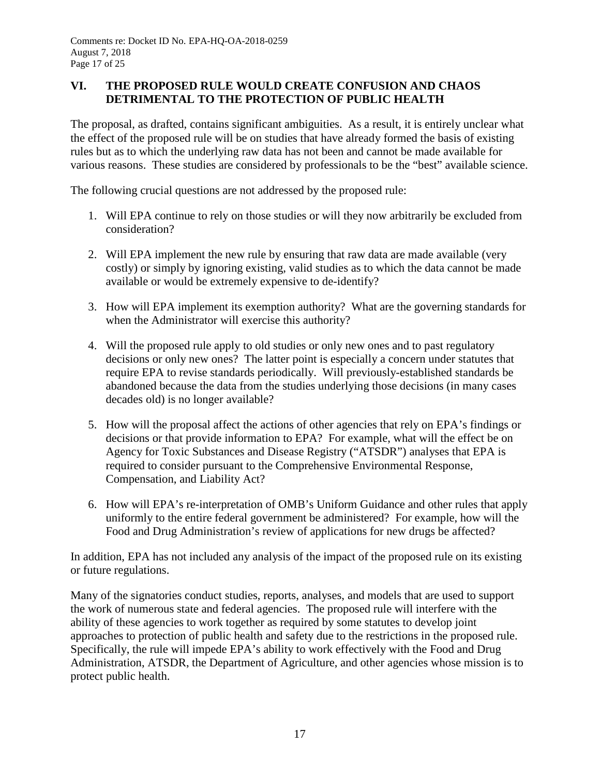## **VI. THE PROPOSED RULE WOULD CREATE CONFUSION AND CHAOS DETRIMENTAL TO THE PROTECTION OF PUBLIC HEALTH**

The proposal, as drafted, contains significant ambiguities. As a result, it is entirely unclear what the effect of the proposed rule will be on studies that have already formed the basis of existing rules but as to which the underlying raw data has not been and cannot be made available for various reasons. These studies are considered by professionals to be the "best" available science.

The following crucial questions are not addressed by the proposed rule:

- 1. Will EPA continue to rely on those studies or will they now arbitrarily be excluded from consideration?
- 2. Will EPA implement the new rule by ensuring that raw data are made available (very costly) or simply by ignoring existing, valid studies as to which the data cannot be made available or would be extremely expensive to de-identify?
- 3. How will EPA implement its exemption authority? What are the governing standards for when the Administrator will exercise this authority?
- 4. Will the proposed rule apply to old studies or only new ones and to past regulatory decisions or only new ones? The latter point is especially a concern under statutes that require EPA to revise standards periodically. Will previously-established standards be abandoned because the data from the studies underlying those decisions (in many cases decades old) is no longer available?
- 5. How will the proposal affect the actions of other agencies that rely on EPA's findings or decisions or that provide information to EPA? For example, what will the effect be on Agency for Toxic Substances and Disease Registry ("ATSDR") analyses that EPA is required to consider pursuant to the Comprehensive Environmental Response, Compensation, and Liability Act?
- 6. How will EPA's re-interpretation of OMB's Uniform Guidance and other rules that apply uniformly to the entire federal government be administered? For example, how will the Food and Drug Administration's review of applications for new drugs be affected?

In addition, EPA has not included any analysis of the impact of the proposed rule on its existing or future regulations.

Many of the signatories conduct studies, reports, analyses, and models that are used to support the work of numerous state and federal agencies. The proposed rule will interfere with the ability of these agencies to work together as required by some statutes to develop joint approaches to protection of public health and safety due to the restrictions in the proposed rule. Specifically, the rule will impede EPA's ability to work effectively with the Food and Drug Administration, ATSDR, the Department of Agriculture, and other agencies whose mission is to protect public health.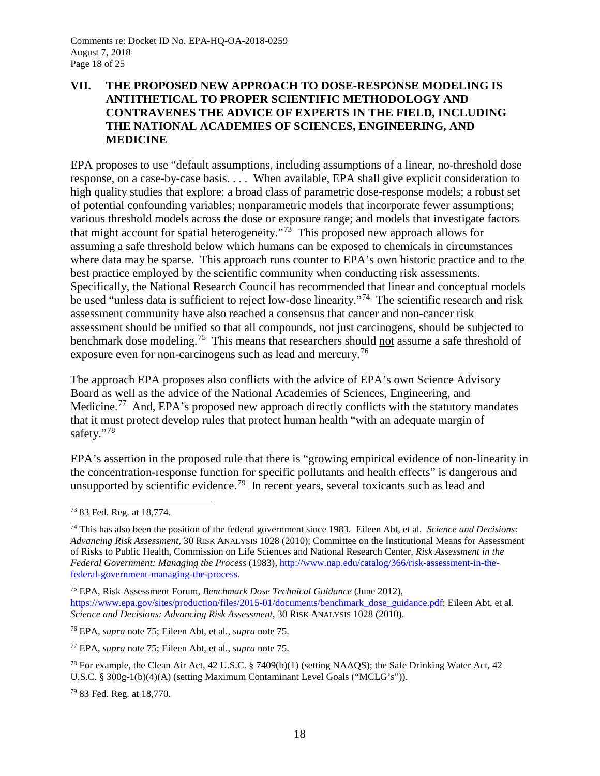## **VII. THE PROPOSED NEW APPROACH TO DOSE-RESPONSE MODELING IS ANTITHETICAL TO PROPER SCIENTIFIC METHODOLOGY AND CONTRAVENES THE ADVICE OF EXPERTS IN THE FIELD, INCLUDING THE NATIONAL ACADEMIES OF SCIENCES, ENGINEERING, AND MEDICINE**

EPA proposes to use "default assumptions, including assumptions of a linear, no-threshold dose response, on a case-by-case basis. . . . When available, EPA shall give explicit consideration to high quality studies that explore: a broad class of parametric dose-response models; a robust set of potential confounding variables; nonparametric models that incorporate fewer assumptions; various threshold models across the dose or exposure range; and models that investigate factors that might account for spatial heterogeneity."<sup>73</sup> This proposed new approach allows for assuming a safe threshold below which humans can be exposed to chemicals in circumstances where data may be sparse. This approach runs counter to EPA's own historic practice and to the best practice employed by the scientific community when conducting risk assessments. Specifically, the National Research Council has recommended that linear and conceptual models be used "unless data is sufficient to reject low-dose linearity."<sup>74</sup> The scientific research and risk assessment community have also reached a consensus that cancer and non-cancer risk assessment should be unified so that all compounds, not just carcinogens, should be subjected to benchmark dose modeling.<sup>[75](#page-23-2)</sup> This means that researchers should not assume a safe threshold of exposure even for non-carcinogens such as lead and mercury.<sup>[76](#page-23-3)</sup>

The approach EPA proposes also conflicts with the advice of EPA's own Science Advisory Board as well as the advice of the National Academies of Sciences, Engineering, and Medicine.<sup>[77](#page-23-4)</sup> And, EPA's proposed new approach directly conflicts with the statutory mandates that it must protect develop rules that protect human health "with an adequate margin of safety."<sup>[78](#page-23-5)</sup>

EPA's assertion in the proposed rule that there is "growing empirical evidence of non-linearity in the concentration-response function for specific pollutants and health effects" is dangerous and unsupported by scientific evidence.<sup>79</sup> In recent years, several toxicants such as lead and

<span id="page-23-2"></span><sup>75</sup> EPA, Risk Assessment Forum, *Benchmark Dose Technical Guidance* (June 2012), [https://www.epa.gov/sites/production/files/2015-01/documents/benchmark\\_dose\\_guidance.pdf;](https://www.epa.gov/sites/production/files/2015-01/documents/benchmark_dose_guidance.pdf) Eileen Abt, et al. *Science and Decisions: Advancing Risk Assessment*, 30 RISK ANALYSIS 1028 (2010).

<span id="page-23-3"></span><sup>76</sup> EPA, *supra* note 75; Eileen Abt, et al., *supra* note 75.

<span id="page-23-4"></span><sup>77</sup> EPA, *supra* note 75; Eileen Abt, et al., *supra* note 75.

<span id="page-23-5"></span><sup>78</sup> For example, the Clean Air Act, 42 U.S.C. § 7409(b)(1) (setting NAAQS); the Safe Drinking Water Act, 42 U.S.C. § 300g-1(b)(4)(A) (setting Maximum Contaminant Level Goals ("MCLG's")).

<span id="page-23-6"></span><sup>79</sup> 83 Fed. Reg. at 18,770.

<span id="page-23-0"></span> <sup>73</sup> 83 Fed. Reg. at 18,774.

<span id="page-23-1"></span><sup>74</sup> This has also been the position of the federal government since 1983. Eileen Abt, et al. *Science and Decisions: Advancing Risk Assessment*, 30 RISK ANALYSIS 1028 (2010); Committee on the Institutional Means for Assessment of Risks to Public Health, Commission on Life Sciences and National Research Center, *Risk Assessment in the Federal Government: Managing the Process* (1983)[, http://www.nap.edu/catalog/366/risk-assessment-in-the](http://www.nap.edu/catalog/366/risk-assessment-in-the-federal-government-managing-the-process)[federal-government-managing-the-process.](http://www.nap.edu/catalog/366/risk-assessment-in-the-federal-government-managing-the-process)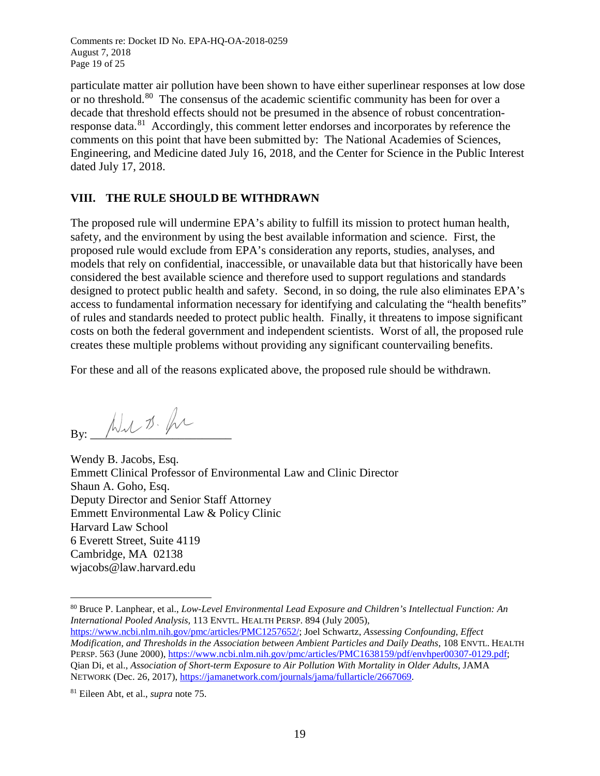Comments re: Docket ID No. EPA-HQ-OA-2018-0259 August 7, 2018 Page 19 of 25

particulate matter air pollution have been shown to have either superlinear responses at low dose or no threshold.<sup>[80](#page-24-0)</sup> The consensus of the academic scientific community has been for over a decade that threshold effects should not be presumed in the absence of robust concentrationresponse data.<sup>81</sup> Accordingly, this comment letter endorses and incorporates by reference the comments on this point that have been submitted by: The National Academies of Sciences, Engineering, and Medicine dated July 16, 2018, and the Center for Science in the Public Interest dated July 17, 2018.

### **VIII. THE RULE SHOULD BE WITHDRAWN**

The proposed rule will undermine EPA's ability to fulfill its mission to protect human health, safety, and the environment by using the best available information and science. First, the proposed rule would exclude from EPA's consideration any reports, studies, analyses, and models that rely on confidential, inaccessible, or unavailable data but that historically have been considered the best available science and therefore used to support regulations and standards designed to protect public health and safety. Second, in so doing, the rule also eliminates EPA's access to fundamental information necessary for identifying and calculating the "health benefits" of rules and standards needed to protect public health. Finally, it threatens to impose significant costs on both the federal government and independent scientists. Worst of all, the proposed rule creates these multiple problems without providing any significant countervailing benefits.

For these and all of the reasons explicated above, the proposed rule should be withdrawn.

 $By:$   $\overline{\mathcal{M}}\mathcal{N}$   $\mathcal{D}\mathcal{N}$ 

Wendy B. Jacobs, Esq. Emmett Clinical Professor of Environmental Law and Clinic Director Shaun A. Goho, Esq. Deputy Director and Senior Staff Attorney Emmett Environmental Law & Policy Clinic Harvard Law School 6 Everett Street, Suite 4119 Cambridge, MA 02138 wjacobs@law.harvard.edu

<span id="page-24-0"></span> <sup>80</sup> Bruce P. Lanphear, et al., *Low-Level Environmental Lead Exposure and Children's Intellectual Function: An International Pooled Analysis,* 113 ENVTL. HEALTH PERSP. 894 (July 2005),

[https://www.ncbi.nlm.nih.gov/pmc/articles/PMC1257652/;](https://www.ncbi.nlm.nih.gov/pmc/articles/PMC1257652/) Joel Schwartz, *Assessing Confounding, Effect Modification, and Thresholds in the Association between Ambient Particles and Daily Deaths*, 108 ENVTL. HEALTH PERSP. 563 (June 2000)[, https://www.ncbi.nlm.nih.gov/pmc/articles/PMC1638159/pdf/envhper00307-0129.pdf;](https://www.ncbi.nlm.nih.gov/pmc/articles/PMC1638159/pdf/envhper00307-0129.pdf) Qian Di, et al., *Association of Short-term Exposure to Air Pollution With Mortality in Older Adults*, JAMA NETWORK (Dec. 26, 2017)[, https://jamanetwork.com/journals/jama/fullarticle/2667069.](https://jamanetwork.com/journals/jama/fullarticle/2667069)

<span id="page-24-1"></span><sup>81</sup> Eileen Abt, et al., *supra* note 75.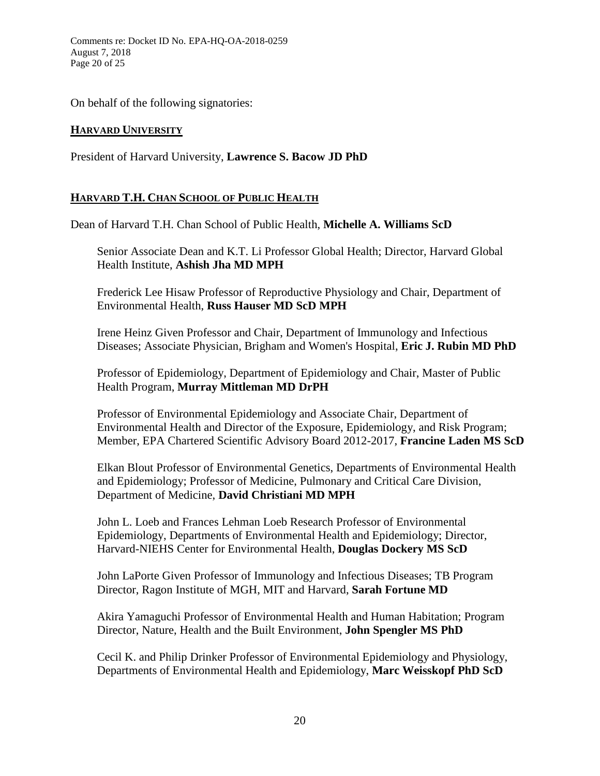Comments re: Docket ID No. EPA-HQ-OA-2018-0259 August 7, 2018 Page 20 of 25

On behalf of the following signatories:

## **HARVARD UNIVERSITY**

President of Harvard University, **Lawrence S. Bacow JD PhD**

## **HARVARD T.H. CHAN SCHOOL OF PUBLIC HEALTH**

Dean of Harvard T.H. Chan School of Public Health, **Michelle A. Williams ScD**

Senior Associate Dean and K.T. Li Professor Global Health; Director, Harvard Global Health Institute, **Ashish Jha MD MPH**

Frederick Lee Hisaw Professor of Reproductive Physiology and Chair, Department of Environmental Health, **Russ Hauser MD ScD MPH**

Irene Heinz Given Professor and Chair, Department of Immunology and Infectious Diseases; Associate Physician, Brigham and Women's Hospital, **Eric J. Rubin MD PhD**

Professor of Epidemiology, Department of Epidemiology and Chair, Master of Public Health Program, **Murray Mittleman MD DrPH**

Professor of Environmental Epidemiology and Associate Chair, Department of Environmental Health and Director of the Exposure, Epidemiology, and Risk Program; Member, EPA Chartered Scientific Advisory Board 2012-2017, **Francine Laden MS ScD**

Elkan Blout Professor of Environmental Genetics, Departments of Environmental Health and Epidemiology; Professor of Medicine, Pulmonary and Critical Care Division, Department of Medicine, **David Christiani MD MPH**

John L. Loeb and Frances Lehman Loeb Research Professor of Environmental Epidemiology, Departments of Environmental Health and Epidemiology; Director, Harvard-NIEHS Center for Environmental Health, **Douglas Dockery MS ScD**

John LaPorte Given Professor of Immunology and Infectious Diseases; TB Program Director, Ragon Institute of MGH, MIT and Harvard, **Sarah Fortune MD**

Akira Yamaguchi Professor of Environmental Health and Human Habitation; Program Director, Nature, Health and the Built Environment, **John Spengler MS PhD**

Cecil K. and Philip Drinker Professor of Environmental Epidemiology and Physiology, Departments of Environmental Health and Epidemiology, **Marc Weisskopf PhD ScD**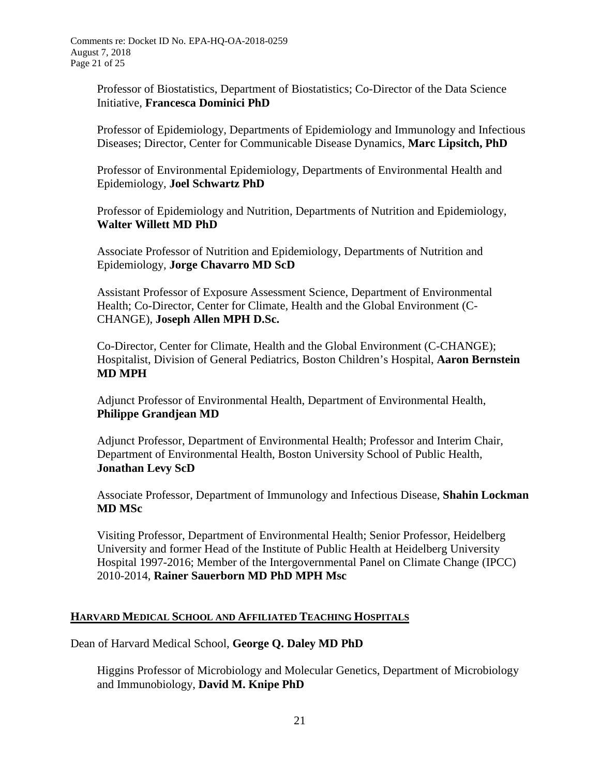Professor of Biostatistics, Department of Biostatistics; Co-Director of the Data Science Initiative, **Francesca Dominici PhD**

Professor of Epidemiology, Departments of Epidemiology and Immunology and Infectious Diseases; Director, Center for Communicable Disease Dynamics, **Marc Lipsitch, PhD**

Professor of Environmental Epidemiology, Departments of Environmental Health and Epidemiology, **Joel Schwartz PhD**

Professor of Epidemiology and Nutrition, Departments of Nutrition and Epidemiology, **Walter Willett MD PhD**

Associate Professor of Nutrition and Epidemiology, Departments of Nutrition and Epidemiology, **Jorge Chavarro MD ScD**

Assistant Professor of Exposure Assessment Science, Department of Environmental Health; Co-Director, Center for Climate, Health and the Global Environment (C-CHANGE), **Joseph Allen MPH D.Sc.** 

Co-Director, Center for Climate, Health and the Global Environment (C-CHANGE); Hospitalist, Division of General Pediatrics, Boston Children's Hospital, **Aaron Bernstein MD MPH**

Adjunct Professor of Environmental Health, Department of Environmental Health, **Philippe Grandjean MD**

Adjunct Professor, Department of Environmental Health; Professor and Interim Chair, Department of Environmental Health, Boston University School of Public Health, **Jonathan Levy ScD**

Associate Professor, Department of Immunology and Infectious Disease, **Shahin Lockman MD MSc** 

Visiting Professor, Department of Environmental Health; Senior Professor, Heidelberg University and former Head of the Institute of Public Health at Heidelberg University Hospital 1997-2016; Member of the Intergovernmental Panel on Climate Change (IPCC) 2010-2014, **Rainer Sauerborn MD PhD MPH Msc**

## **HARVARD MEDICAL SCHOOL AND AFFILIATED TEACHING HOSPITALS**

Dean of Harvard Medical School, **George Q. Daley MD PhD**

Higgins Professor of Microbiology and Molecular Genetics, Department of Microbiology and Immunobiology, **David M. Knipe PhD**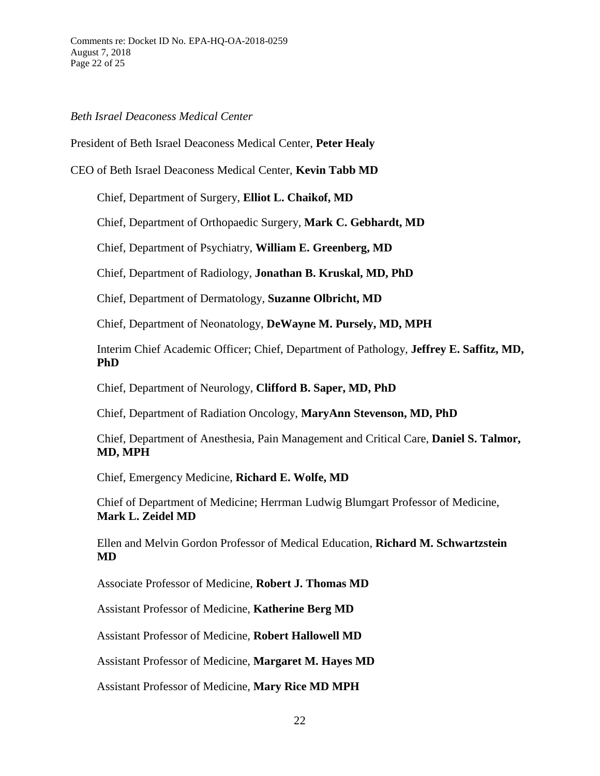#### *Beth Israel Deaconess Medical Center*

President of Beth Israel Deaconess Medical Center, **Peter Healy**

CEO of Beth Israel Deaconess Medical Center, **Kevin Tabb MD**

Chief, Department of Surgery, **Elliot L. Chaikof, MD**

Chief, Department of Orthopaedic Surgery, **Mark C. Gebhardt, MD**

Chief, Department of Psychiatry, **William E. Greenberg, MD**

Chief, Department of Radiology, **Jonathan B. Kruskal, MD, PhD**

Chief, Department of Dermatology, **Suzanne Olbricht, MD**

Chief, Department of Neonatology, **DeWayne M. Pursely, MD, MPH**

Interim Chief Academic Officer; Chief, Department of Pathology, **Jeffrey E. Saffitz, MD, PhD**

Chief, Department of Neurology, **Clifford B. Saper, MD, PhD**

Chief, Department of Radiation Oncology, **MaryAnn Stevenson, MD, PhD**

Chief, Department of Anesthesia, Pain Management and Critical Care, **Daniel S. Talmor, MD, MPH**

Chief, Emergency Medicine, **Richard E. Wolfe, MD**

Chief of Department of Medicine; Herrman Ludwig Blumgart Professor of Medicine, **Mark L. Zeidel MD**

Ellen and Melvin Gordon Professor of Medical Education, **Richard M. Schwartzstein MD**

Associate Professor of Medicine, **Robert J. Thomas MD**

Assistant Professor of Medicine, **Katherine Berg MD**

Assistant Professor of Medicine, **Robert Hallowell MD**

Assistant Professor of Medicine, **Margaret M. Hayes MD**

Assistant Professor of Medicine, **Mary Rice MD MPH**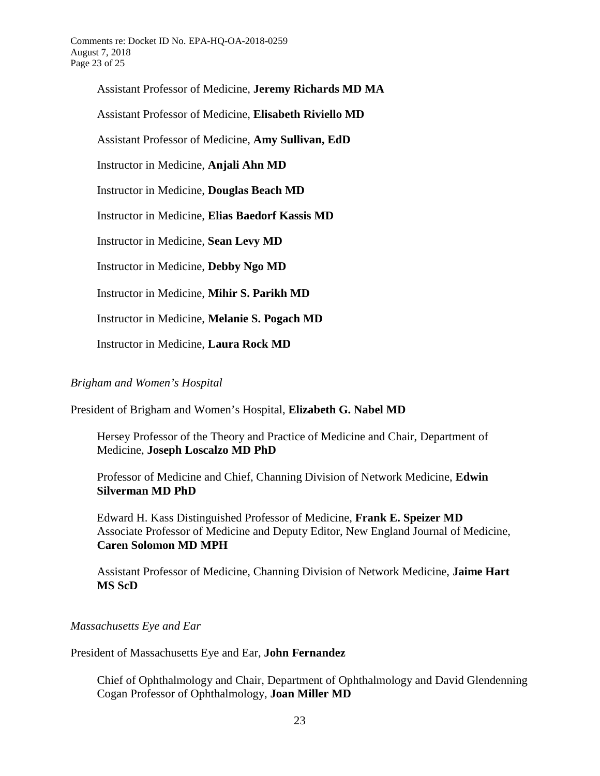Comments re: Docket ID No. EPA-HQ-OA-2018-0259 August 7, 2018 Page 23 of 25

> Assistant Professor of Medicine, **Jeremy Richards MD MA** Assistant Professor of Medicine, **Elisabeth Riviello MD** Assistant Professor of Medicine, **Amy Sullivan, EdD** Instructor in Medicine, **Anjali Ahn MD** Instructor in Medicine, **Douglas Beach MD** Instructor in Medicine, **Elias Baedorf Kassis MD** Instructor in Medicine, **Sean Levy MD** Instructor in Medicine, **Debby Ngo MD** Instructor in Medicine, **Mihir S. Parikh MD** Instructor in Medicine, **Melanie S. Pogach MD**

Instructor in Medicine, **Laura Rock MD**

## *Brigham and Women's Hospital*

President of Brigham and Women's Hospital, **Elizabeth G. Nabel MD**

Hersey Professor of the Theory and Practice of Medicine and Chair, Department of Medicine, **Joseph Loscalzo MD PhD**

Professor of Medicine and Chief, Channing Division of Network Medicine, **Edwin Silverman MD PhD**

Edward H. Kass Distinguished Professor of Medicine, **Frank E. Speizer MD**  Associate Professor of Medicine and Deputy Editor, New England Journal of Medicine, **Caren Solomon MD MPH** 

Assistant Professor of Medicine, Channing Division of Network Medicine, **Jaime Hart MS ScD**

*Massachusetts Eye and Ear*

#### President of Massachusetts Eye and Ear, **John Fernandez**

Chief of Ophthalmology and Chair, Department of Ophthalmology and David Glendenning Cogan Professor of Ophthalmology, **Joan Miller MD**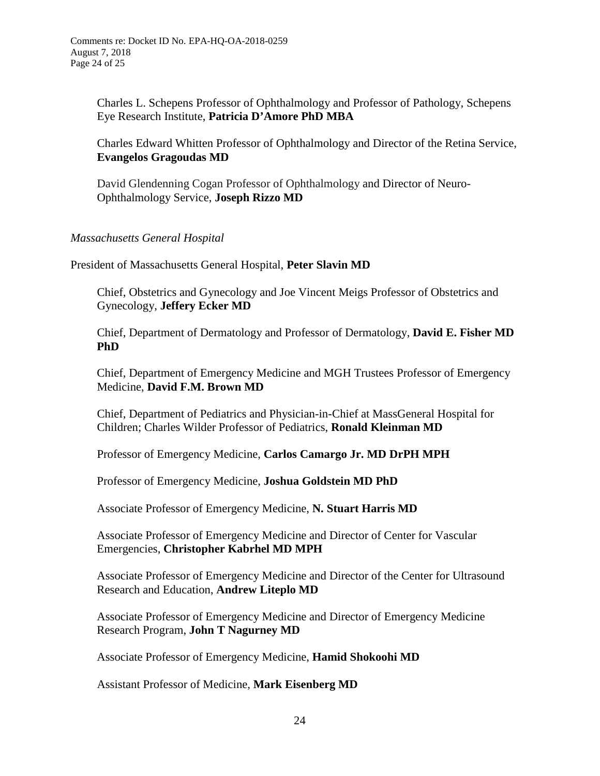Charles L. Schepens Professor of Ophthalmology and Professor of Pathology, Schepens Eye Research Institute, **Patricia D'Amore PhD MBA**

Charles Edward Whitten Professor of Ophthalmology and Director of the Retina Service, **Evangelos Gragoudas MD**

David Glendenning Cogan Professor of Ophthalmology and Director of Neuro-Ophthalmology Service, **Joseph Rizzo MD**

### *Massachusetts General Hospital*

President of Massachusetts General Hospital, **Peter Slavin MD**

Chief, Obstetrics and Gynecology and Joe Vincent Meigs Professor of Obstetrics and Gynecology, **Jeffery Ecker MD**

Chief, Department of Dermatology and Professor of Dermatology, **David E. Fisher MD PhD**

Chief, Department of Emergency Medicine and MGH Trustees Professor of Emergency Medicine, **David F.M. Brown MD**

Chief, Department of Pediatrics and Physician-in-Chief at MassGeneral Hospital for Children; Charles Wilder Professor of Pediatrics, **Ronald Kleinman MD**

Professor of Emergency Medicine, **Carlos Camargo Jr. MD DrPH MPH**

Professor of Emergency Medicine, **Joshua Goldstein MD PhD**

Associate Professor of Emergency Medicine, **N. Stuart Harris MD**

Associate Professor of Emergency Medicine and Director of Center for Vascular Emergencies, **Christopher Kabrhel MD MPH** 

Associate Professor of Emergency Medicine and Director of the Center for Ultrasound Research and Education, **Andrew Liteplo MD**

Associate Professor of Emergency Medicine and Director of Emergency Medicine Research Program, **John T Nagurney MD**

Associate Professor of Emergency Medicine, **Hamid Shokoohi MD**

Assistant Professor of Medicine, **Mark Eisenberg MD**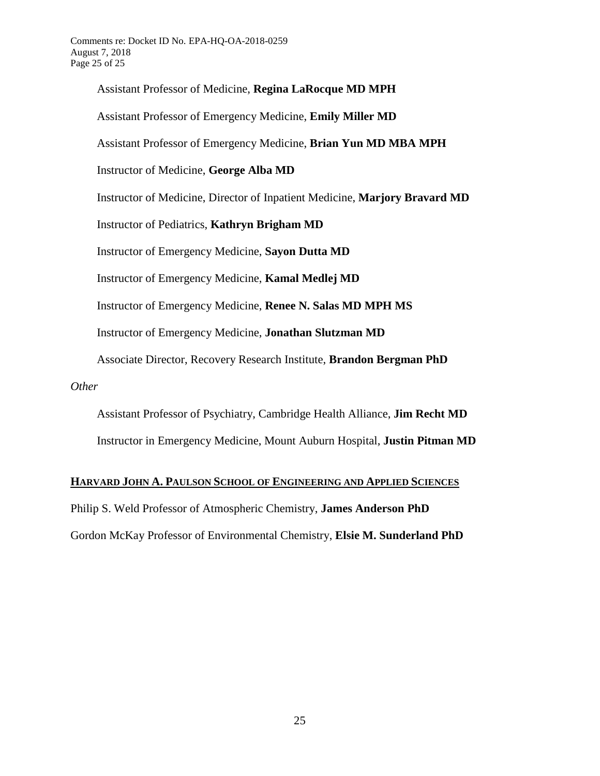Assistant Professor of Medicine, **Regina LaRocque MD MPH**  Assistant Professor of Emergency Medicine, **Emily Miller MD** Assistant Professor of Emergency Medicine, **Brian Yun MD MBA MPH**  Instructor of Medicine, **George Alba MD** Instructor of Medicine, Director of Inpatient Medicine, **Marjory Bravard MD** Instructor of Pediatrics, **Kathryn Brigham MD** Instructor of Emergency Medicine, **Sayon Dutta MD** Instructor of Emergency Medicine, **Kamal Medlej MD**  Instructor of Emergency Medicine, **Renee N. Salas MD MPH MS**  Instructor of Emergency Medicine, **Jonathan Slutzman MD**  Associate Director, Recovery Research Institute, **Brandon Bergman PhD** *Other*

Assistant Professor of Psychiatry, Cambridge Health Alliance, **Jim Recht MD** 

Instructor in Emergency Medicine, Mount Auburn Hospital, **Justin Pitman MD**

#### **HARVARD JOHN A. PAULSON SCHOOL OF ENGINEERING AND APPLIED SCIENCES**

Philip S. Weld Professor of Atmospheric Chemistry, **James Anderson PhD**

Gordon McKay Professor of Environmental Chemistry, **Elsie M. Sunderland PhD**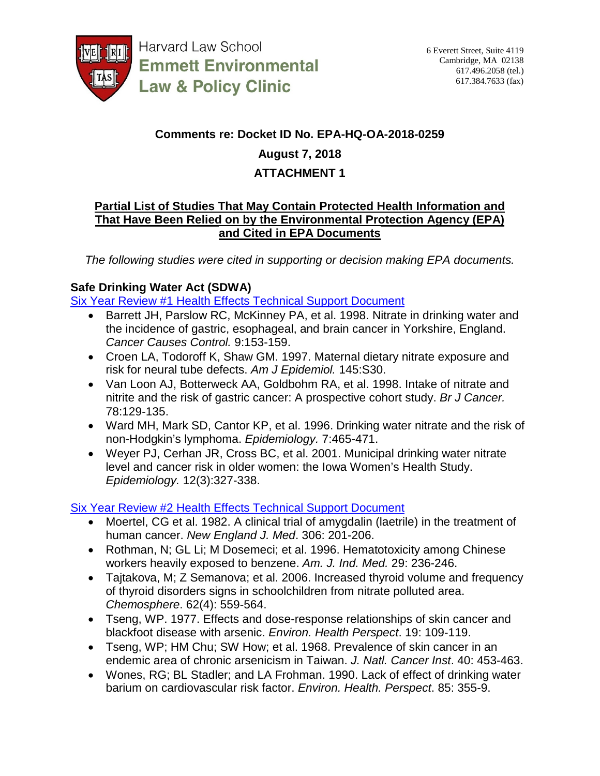

**Harvard Law School Emmett Environmental Law & Policy Clinic** 

## **Comments re: Docket ID No. EPA-HQ-OA-2018-0259**

# **August 7, 2018**

## **ATTACHMENT 1**

## **Partial List of Studies That May Contain Protected Health Information and That Have Been Relied on by the Environmental Protection Agency (EPA) and Cited in EPA Documents**

*The following studies were cited in supporting or decision making EPA documents.*

## **Safe Drinking Water Act (SDWA)**

[Six Year Review #1 Health Effects Technical Support Document](https://www.epa.gov/sites/production/files/2014-12/documents/822r03008.pdf)

- Barrett JH, Parslow RC, McKinney PA, et al. 1998. Nitrate in drinking water and the incidence of gastric, esophageal, and brain cancer in Yorkshire, England. *Cancer Causes Control.* 9:153-159.
- Croen LA, Todoroff K, Shaw GM. 1997. Maternal dietary nitrate exposure and risk for neural tube defects. *Am J Epidemiol.* 145:S30.
- Van Loon AJ, Botterweck AA, Goldbohm RA, et al. 1998. Intake of nitrate and nitrite and the risk of gastric cancer: A prospective cohort study. *Br J Cancer.* 78:129-135.
- Ward MH, Mark SD, Cantor KP, et al. 1996. Drinking water nitrate and the risk of non-Hodgkin's lymphoma. *Epidemiology.* 7:465-471.
- Weyer PJ, Cerhan JR, Cross BC, et al. 2001. Municipal drinking water nitrate level and cancer risk in older women: the Iowa Women's Health Study. *Epidemiology.* 12(3):327-338.

[Six Year Review #2 Health Effects Technical Support Document](https://www.epa.gov/sites/production/files/2014-12/documents/822r09006.pdf)

- Moertel, CG et al. 1982. A clinical trial of amygdalin (laetrile) in the treatment of human cancer. *New England J. Med*. 306: 201-206.
- Rothman, N; GL Li; M Dosemeci; et al. 1996. Hematotoxicity among Chinese workers heavily exposed to benzene. *Am. J. Ind. Med.* 29: 236-246.
- Tajtakova, M; Z Semanova; et al. 2006. Increased thyroid volume and frequency of thyroid disorders signs in schoolchildren from nitrate polluted area. *Chemosphere*. 62(4): 559-564.
- Tseng, WP. 1977. Effects and dose-response relationships of skin cancer and blackfoot disease with arsenic. *Environ. Health Perspect*. 19: 109-119.
- Tseng, WP; HM Chu; SW How; et al. 1968. Prevalence of skin cancer in an endemic area of chronic arsenicism in Taiwan. *J. Natl. Cancer Inst*. 40: 453-463.
- Wones, RG; BL Stadler; and LA Frohman. 1990. Lack of effect of drinking water barium on cardiovascular risk factor. *Environ. Health. Perspect*. 85: 355-9.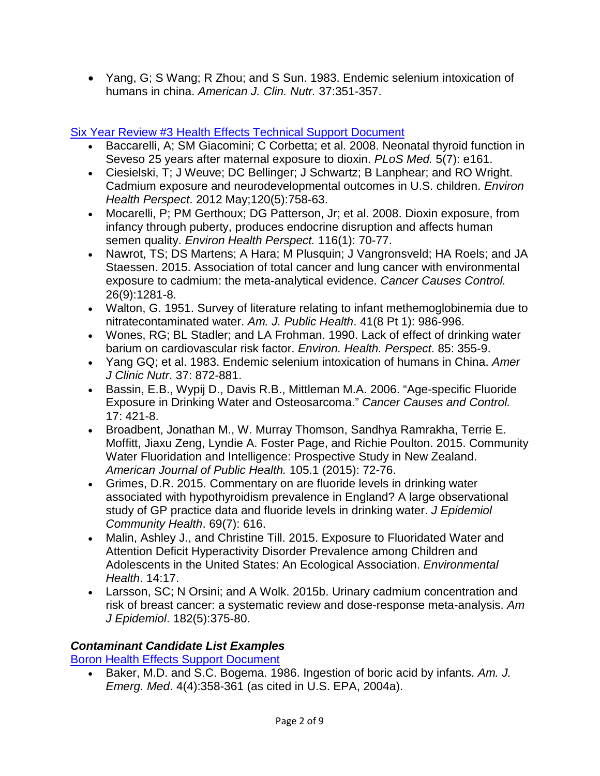• Yang, G; S Wang; R Zhou; and S Sun. 1983. Endemic selenium intoxication of humans in china. *American J. Clin. Nutr.* 37:351-357.

# [Six Year Review #3 Health Effects Technical Support Document](https://www.epa.gov/sites/production/files/2016-12/documents/822r16008.pdf)

- Baccarelli, A; SM Giacomini; C Corbetta; et al. 2008. Neonatal thyroid function in Seveso 25 years after maternal exposure to dioxin. *PLoS Med.* 5(7): e161.
- Ciesielski, T; J Weuve; DC Bellinger; J Schwartz; B Lanphear; and RO Wright. Cadmium exposure and neurodevelopmental outcomes in U.S. children. *Environ Health Perspect*. 2012 May;120(5):758-63.
- Mocarelli, P; PM Gerthoux; DG Patterson, Jr; et al. 2008. Dioxin exposure, from infancy through puberty, produces endocrine disruption and affects human semen quality. *Environ Health Perspect.* 116(1): 70-77.
- Nawrot, TS; DS Martens; A Hara; M Plusquin; J Vangronsveld; HA Roels; and JA Staessen. 2015. Association of total cancer and lung cancer with environmental exposure to cadmium: the meta-analytical evidence. *Cancer Causes Control.* 26(9):1281-8.
- Walton, G. 1951. Survey of literature relating to infant methemoglobinemia due to nitratecontaminated water. *Am. J. Public Health*. 41(8 Pt 1): 986-996.
- Wones, RG; BL Stadler; and LA Frohman. 1990. Lack of effect of drinking water barium on cardiovascular risk factor. *Environ. Health. Perspect*. 85: 355-9.
- Yang GQ; et al. 1983. Endemic selenium intoxication of humans in China. *Amer J Clinic Nutr*. 37: 872-881.
- Bassin, E.B., Wypij D., Davis R.B., Mittleman M.A. 2006. "Age-specific Fluoride Exposure in Drinking Water and Osteosarcoma." *Cancer Causes and Control.* 17: 421-8.
- Broadbent, Jonathan M., W. Murray Thomson, Sandhya Ramrakha, Terrie E. Moffitt, Jiaxu Zeng, Lyndie A. Foster Page, and Richie Poulton. 2015. Community Water Fluoridation and Intelligence: Prospective Study in New Zealand. *American Journal of Public Health.* 105.1 (2015): 72-76.
- Grimes, D.R. 2015. Commentary on are fluoride levels in drinking water associated with hypothyroidism prevalence in England? A large observational study of GP practice data and fluoride levels in drinking water. *J Epidemiol Community Health*. 69(7): 616.
- Malin, Ashley J., and Christine Till. 2015. Exposure to Fluoridated Water and Attention Deficit Hyperactivity Disorder Prevalence among Children and Adolescents in the United States: An Ecological Association. *Environmental Health*. 14:17.
- Larsson, SC; N Orsini; and A Wolk. 2015b. Urinary cadmium concentration and risk of breast cancer: a systematic review and dose-response meta-analysis. *Am J Epidemiol*. 182(5):375-80.

# *Contaminant Candidate List Examples*

[Boron Health Effects Support Document](https://www.epa.gov/sites/production/files/2014-09/documents/health_effects_support_document_for_boron.pdf)

• Baker, M.D. and S.C. Bogema. 1986. Ingestion of boric acid by infants. *Am. J. Emerg. Med*. 4(4):358-361 (as cited in U.S. EPA, 2004a).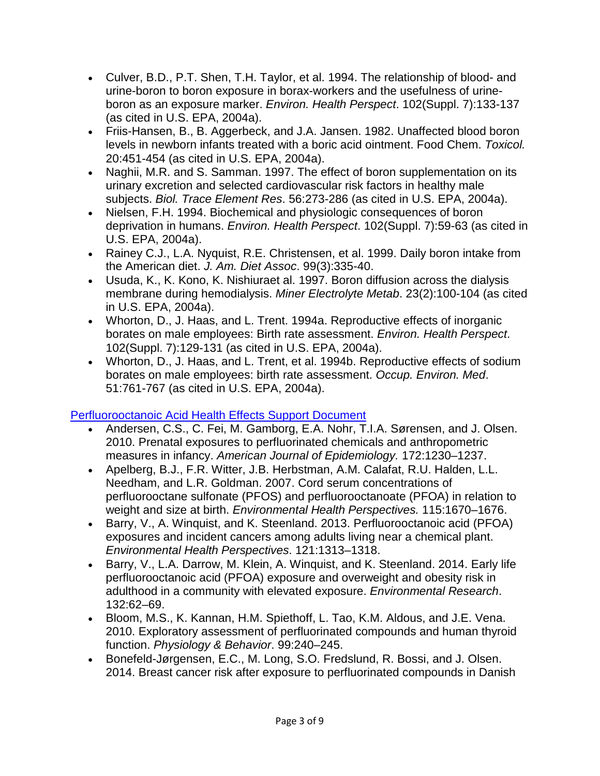- Culver, B.D., P.T. Shen, T.H. Taylor, et al. 1994. The relationship of blood- and urine-boron to boron exposure in borax-workers and the usefulness of urineboron as an exposure marker. *Environ. Health Perspect*. 102(Suppl. 7):133-137 (as cited in U.S. EPA, 2004a).
- Friis-Hansen, B., B. Aggerbeck, and J.A. Jansen. 1982. Unaffected blood boron levels in newborn infants treated with a boric acid ointment. Food Chem. *Toxicol.* 20:451-454 (as cited in U.S. EPA, 2004a).
- Naghii, M.R. and S. Samman. 1997. The effect of boron supplementation on its urinary excretion and selected cardiovascular risk factors in healthy male subjects. *Biol. Trace Element Res*. 56:273-286 (as cited in U.S. EPA, 2004a).
- Nielsen, F.H. 1994. Biochemical and physiologic consequences of boron deprivation in humans. *Environ. Health Perspect*. 102(Suppl. 7):59-63 (as cited in U.S. EPA, 2004a).
- Rainey C.J., L.A. Nyquist, R.E. Christensen, et al. 1999. Daily boron intake from the American diet. *J. Am. Diet Assoc*. 99(3):335-40.
- Usuda, K., K. Kono, K. Nishiuraet al. 1997. Boron diffusion across the dialysis membrane during hemodialysis. *Miner Electrolyte Metab*. 23(2):100-104 (as cited in U.S. EPA, 2004a).
- Whorton, D., J. Haas, and L. Trent. 1994a. Reproductive effects of inorganic borates on male employees: Birth rate assessment. *Environ. Health Perspect*. 102(Suppl. 7):129-131 (as cited in U.S. EPA, 2004a).
- Whorton, D., J. Haas, and L. Trent, et al. 1994b. Reproductive effects of sodium borates on male employees: birth rate assessment. *Occup. Environ. Med*. 51:761-767 (as cited in U.S. EPA, 2004a).

# Perfluorooctanoic [Acid Health Effects Support Document](https://www.epa.gov/sites/production/files/2016-05/documents/pfoa_hesd_final-plain.pdf)

- Andersen, C.S., C. Fei, M. Gamborg, E.A. Nohr, T.I.A. Sørensen, and J. Olsen. 2010. Prenatal exposures to perfluorinated chemicals and anthropometric measures in infancy. *American Journal of Epidemiology.* 172:1230–1237.
- Apelberg, B.J., F.R. Witter, J.B. Herbstman, A.M. Calafat, R.U. Halden, L.L. Needham, and L.R. Goldman. 2007. Cord serum concentrations of perfluorooctane sulfonate (PFOS) and perfluorooctanoate (PFOA) in relation to weight and size at birth. *Environmental Health Perspectives.* 115:1670–1676.
- Barry, V., A. Winquist, and K. Steenland. 2013. Perfluorooctanoic acid (PFOA) exposures and incident cancers among adults living near a chemical plant. *Environmental Health Perspectives*. 121:1313–1318.
- Barry, V., L.A. Darrow, M. Klein, A. Winquist, and K. Steenland. 2014. Early life perfluorooctanoic acid (PFOA) exposure and overweight and obesity risk in adulthood in a community with elevated exposure. *Environmental Research*. 132:62–69.
- Bloom, M.S., K. Kannan, H.M. Spiethoff, L. Tao, K.M. Aldous, and J.E. Vena. 2010. Exploratory assessment of perfluorinated compounds and human thyroid function. *Physiology & Behavior*. 99:240–245.
- Bonefeld-Jørgensen, E.C., M. Long, S.O. Fredslund, R. Bossi, and J. Olsen. 2014. Breast cancer risk after exposure to perfluorinated compounds in Danish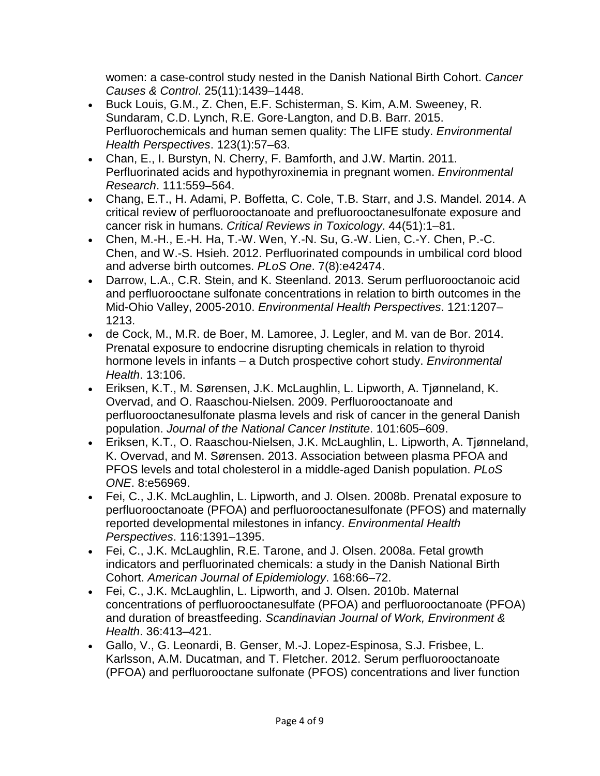women: a case-control study nested in the Danish National Birth Cohort. *Cancer Causes & Control*. 25(11):1439–1448.

- Buck Louis, G.M., Z. Chen, E.F. Schisterman, S. Kim, A.M. Sweeney, R. Sundaram, C.D. Lynch, R.E. Gore-Langton, and D.B. Barr. 2015. Perfluorochemicals and human semen quality: The LIFE study. *Environmental Health Perspectives*. 123(1):57–63.
- Chan, E., I. Burstyn, N. Cherry, F. Bamforth, and J.W. Martin. 2011. Perfluorinated acids and hypothyroxinemia in pregnant women. *Environmental Research*. 111:559–564.
- Chang, E.T., H. Adami, P. Boffetta, C. Cole, T.B. Starr, and J.S. Mandel. 2014. A critical review of perfluorooctanoate and prefluorooctanesulfonate exposure and cancer risk in humans. *Critical Reviews in Toxicology*. 44(51):1–81.
- Chen, M.-H., E.-H. Ha, T.-W. Wen, Y.-N. Su, G.-W. Lien, C.-Y. Chen, P.-C. Chen, and W.-S. Hsieh. 2012. Perfluorinated compounds in umbilical cord blood and adverse birth outcomes. *PLoS One*. 7(8):e42474.
- Darrow, L.A., C.R. Stein, and K. Steenland. 2013. Serum perfluorooctanoic acid and perfluorooctane sulfonate concentrations in relation to birth outcomes in the Mid-Ohio Valley, 2005-2010. *Environmental Health Perspectives*. 121:1207– 1213.
- de Cock, M., M.R. de Boer, M. Lamoree, J. Legler, and M. van de Bor. 2014. Prenatal exposure to endocrine disrupting chemicals in relation to thyroid hormone levels in infants – a Dutch prospective cohort study. *Environmental Health*. 13:106.
- Eriksen, K.T., M. Sørensen, J.K. McLaughlin, L. Lipworth, A. Tjønneland, K. Overvad, and O. Raaschou-Nielsen. 2009. Perfluorooctanoate and perfluorooctanesulfonate plasma levels and risk of cancer in the general Danish population. *Journal of the National Cancer Institute*. 101:605–609.
- Eriksen, K.T., O. Raaschou-Nielsen, J.K. McLaughlin, L. Lipworth, A. Tjønneland, K. Overvad, and M. Sørensen. 2013. Association between plasma PFOA and PFOS levels and total cholesterol in a middle-aged Danish population. *PLoS ONE*. 8:e56969.
- Fei, C., J.K. McLaughlin, L. Lipworth, and J. Olsen. 2008b. Prenatal exposure to perfluorooctanoate (PFOA) and perfluorooctanesulfonate (PFOS) and maternally reported developmental milestones in infancy. *Environmental Health Perspectives*. 116:1391–1395.
- Fei, C., J.K. McLaughlin, R.E. Tarone, and J. Olsen. 2008a. Fetal growth indicators and perfluorinated chemicals: a study in the Danish National Birth Cohort. *American Journal of Epidemiology*. 168:66–72.
- Fei, C., J.K. McLaughlin, L. Lipworth, and J. Olsen. 2010b. Maternal concentrations of perfluorooctanesulfate (PFOA) and perfluorooctanoate (PFOA) and duration of breastfeeding. *Scandinavian Journal of Work, Environment & Health*. 36:413–421.
- Gallo, V., G. Leonardi, B. Genser, M.-J. Lopez-Espinosa, S.J. Frisbee, L. Karlsson, A.M. Ducatman, and T. Fletcher. 2012. Serum perfluorooctanoate (PFOA) and perfluorooctane sulfonate (PFOS) concentrations and liver function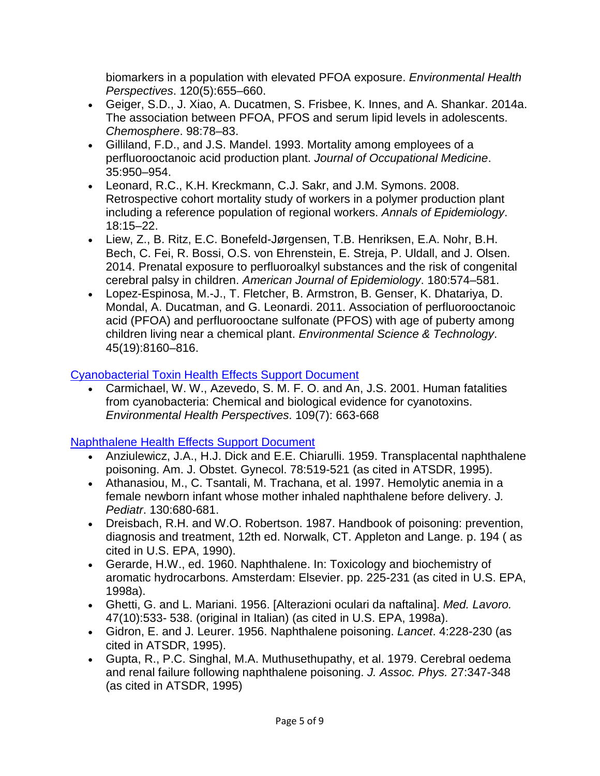biomarkers in a population with elevated PFOA exposure. *Environmental Health Perspectives*. 120(5):655–660.

- Geiger, S.D., J. Xiao, A. Ducatmen, S. Frisbee, K. Innes, and A. Shankar. 2014a. The association between PFOA, PFOS and serum lipid levels in adolescents. *Chemosphere*. 98:78–83.
- Gilliland, F.D., and J.S. Mandel. 1993. Mortality among employees of a perfluorooctanoic acid production plant. *Journal of Occupational Medicine*. 35:950–954.
- Leonard, R.C., K.H. Kreckmann, C.J. Sakr, and J.M. Symons. 2008. Retrospective cohort mortality study of workers in a polymer production plant including a reference population of regional workers. *Annals of Epidemiology*. 18:15–22.
- Liew, Z., B. Ritz, E.C. Bonefeld-Jørgensen, T.B. Henriksen, E.A. Nohr, B.H. Bech, C. Fei, R. Bossi, O.S. von Ehrenstein, E. Streja, P. Uldall, and J. Olsen. 2014. Prenatal exposure to perfluoroalkyl substances and the risk of congenital cerebral palsy in children. *American Journal of Epidemiology*. 180:574–581.
- Lopez-Espinosa, M.-J., T. Fletcher, B. Armstron, B. Genser, K. Dhatariya, D. Mondal, A. Ducatman, and G. Leonardi. 2011. Association of perfluorooctanoic acid (PFOA) and perfluorooctane sulfonate (PFOS) with age of puberty among children living near a chemical plant. *Environmental Science & Technology*. 45(19):8160–816.

# [Cyanobacterial Toxin Health Effects Support Document](https://www.epa.gov/sites/production/files/2017-06/documents/anatoxin-a-report-2015.pdf)

• Carmichael, W. W., Azevedo, S. M. F. O. and An, J.S. 2001. Human fatalities from cyanobacteria: Chemical and biological evidence for cyanotoxins. *Environmental Health Perspectives*. 109(7): 663-668

## [Naphthalene Health Effects Support Document](https://www.epa.gov/sites/production/files/2014-09/documents/support_cc1_naphthalene_healtheffects.pdf)

- Anziulewicz, J.A., H.J. Dick and E.E. Chiarulli. 1959. Transplacental naphthalene poisoning. Am. J. Obstet. Gynecol. 78:519-521 (as cited in ATSDR, 1995).
- Athanasiou, M., C. Tsantali, M. Trachana, et al. 1997. Hemolytic anemia in a female newborn infant whose mother inhaled naphthalene before delivery. J*. Pediatr*. 130:680-681.
- Dreisbach, R.H. and W.O. Robertson. 1987. Handbook of poisoning: prevention, diagnosis and treatment, 12th ed. Norwalk, CT. Appleton and Lange. p. 194 ( as cited in U.S. EPA, 1990).
- Gerarde, H.W., ed. 1960. Naphthalene. In: Toxicology and biochemistry of aromatic hydrocarbons. Amsterdam: Elsevier. pp. 225-231 (as cited in U.S. EPA, 1998a).
- Ghetti, G. and L. Mariani. 1956. [Alterazioni oculari da naftalina]. *Med. Lavoro.* 47(10):533- 538. (original in Italian) (as cited in U.S. EPA, 1998a).
- Gidron, E. and J. Leurer. 1956. Naphthalene poisoning. *Lancet*. 4:228-230 (as cited in ATSDR, 1995).
- Gupta, R., P.C. Singhal, M.A. Muthusethupathy, et al. 1979. Cerebral oedema and renal failure following naphthalene poisoning. *J. Assoc. Phys.* 27:347-348 (as cited in ATSDR, 1995)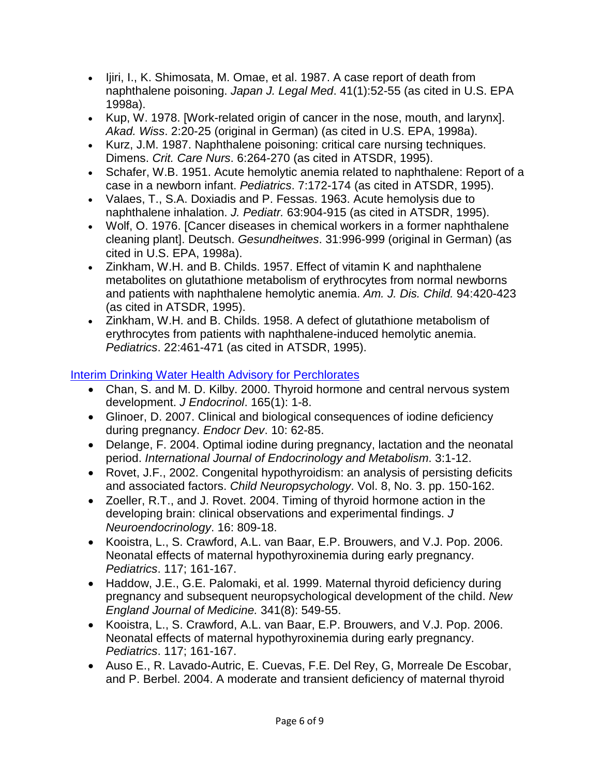- Ijiri, I., K. Shimosata, M. Omae, et al. 1987. A case report of death from naphthalene poisoning. *Japan J. Legal Med*. 41(1):52-55 (as cited in U.S. EPA 1998a).
- Kup, W. 1978. [Work-related origin of cancer in the nose, mouth, and larynx]. *Akad. Wiss*. 2:20-25 (original in German) (as cited in U.S. EPA, 1998a).
- Kurz, J.M. 1987. Naphthalene poisoning: critical care nursing techniques. Dimens. *Crit. Care Nurs*. 6:264-270 (as cited in ATSDR, 1995).
- Schafer, W.B. 1951. Acute hemolytic anemia related to naphthalene: Report of a case in a newborn infant. *Pediatrics*. 7:172-174 (as cited in ATSDR, 1995).
- Valaes, T., S.A. Doxiadis and P. Fessas. 1963. Acute hemolysis due to naphthalene inhalation. *J. Pediatr.* 63:904-915 (as cited in ATSDR, 1995).
- Wolf, O. 1976. [Cancer diseases in chemical workers in a former naphthalene cleaning plant]. Deutsch. *Gesundheitwes*. 31:996-999 (original in German) (as cited in U.S. EPA, 1998a).
- Zinkham, W.H. and B. Childs. 1957. Effect of vitamin K and naphthalene metabolites on glutathione metabolism of erythrocytes from normal newborns and patients with naphthalene hemolytic anemia. *Am. J. Dis. Child.* 94:420-423 (as cited in ATSDR, 1995).
- Zinkham, W.H. and B. Childs. 1958. A defect of glutathione metabolism of erythrocytes from patients with naphthalene-induced hemolytic anemia. *Pediatrics*. 22:461-471 (as cited in ATSDR, 1995).

# [Interim Drinking Water Health Advisory for Perchlorates](https://nepis.epa.gov/Exe/ZyPDF.cgi/P1004X7Q.PDF?Dockey=P1004X7Q.PDF)

- Chan, S. and M. D. Kilby. 2000. Thyroid hormone and central nervous system development. *J Endocrinol*. 165(1): 1-8.
- Glinoer, D. 2007. Clinical and biological consequences of iodine deficiency during pregnancy. *Endocr Dev*. 10: 62-85.
- Delange, F. 2004. Optimal iodine during pregnancy, lactation and the neonatal period. *International Journal of Endocrinology and Metabolism*. 3:1-12.
- Rovet, J.F., 2002. Congenital hypothyroidism: an analysis of persisting deficits and associated factors. *Child Neuropsychology*. Vol. 8, No. 3. pp. 150-162.
- Zoeller, R.T., and J. Rovet. 2004. Timing of thyroid hormone action in the developing brain: clinical observations and experimental findings. *J Neuroendocrinology*. 16: 809-18.
- Kooistra, L., S. Crawford, A.L. van Baar, E.P. Brouwers, and V.J. Pop. 2006. Neonatal effects of maternal hypothyroxinemia during early pregnancy. *Pediatrics*. 117; 161-167.
- Haddow, J.E., G.E. Palomaki, et al. 1999. Maternal thyroid deficiency during pregnancy and subsequent neuropsychological development of the child. *New England Journal of Medicine.* 341(8): 549-55.
- Kooistra, L., S. Crawford, A.L. van Baar, E.P. Brouwers, and V.J. Pop. 2006. Neonatal effects of maternal hypothyroxinemia during early pregnancy. *Pediatrics*. 117; 161-167.
- Auso E., R. Lavado-Autric, E. Cuevas, F.E. Del Rey, G, Morreale De Escobar, and P. Berbel. 2004. A moderate and transient deficiency of maternal thyroid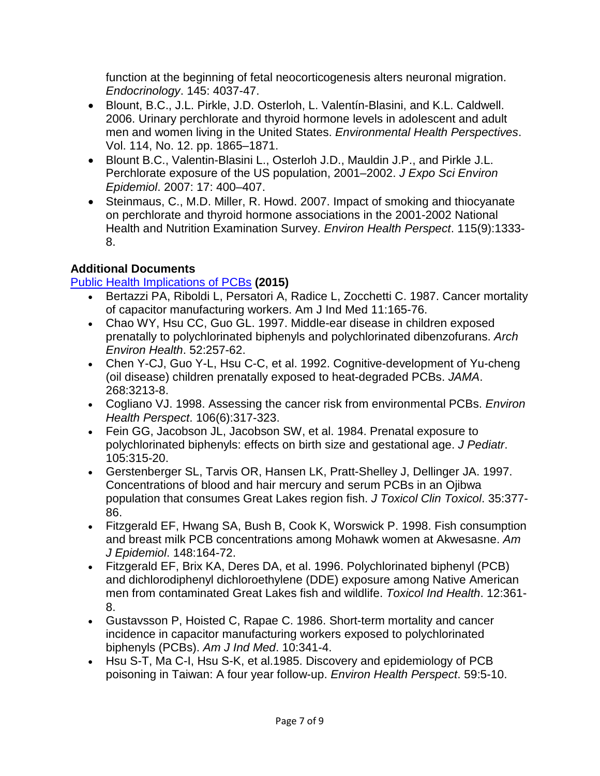function at the beginning of fetal neocorticogenesis alters neuronal migration. *Endocrinology*. 145: 4037-47.

- Blount, B.C., J.L. Pirkle, J.D. Osterloh, L. Valentín-Blasini, and K.L. Caldwell. 2006. Urinary perchlorate and thyroid hormone levels in adolescent and adult men and women living in the United States. *Environmental Health Perspectives*. Vol. 114, No. 12. pp. 1865–1871.
- Blount B.C., Valentin-Blasini L., Osterloh J.D., Mauldin J.P., and Pirkle J.L. Perchlorate exposure of the US population, 2001–2002. *J Expo Sci Environ Epidemiol*. 2007: 17: 400–407.
- Steinmaus, C., M.D. Miller, R. Howd. 2007. Impact of smoking and thiocyanate on perchlorate and thyroid hormone associations in the 2001-2002 National Health and Nutrition Examination Survey. *Environ Health Perspect*. 115(9):1333- 8.

# **Additional Documents**

# [Public Health Implications of PCBs](https://www.epa.gov/sites/production/files/2015-01/documents/pcb99.pdf) **(2015)**

- Bertazzi PA, Riboldi L, Persatori A, Radice L, Zocchetti C. 1987. Cancer mortality of capacitor manufacturing workers. Am J Ind Med 11:165-76.
- Chao WY, Hsu CC, Guo GL. 1997. Middle-ear disease in children exposed prenatally to polychlorinated biphenyls and polychlorinated dibenzofurans. *Arch Environ Health*. 52:257-62.
- Chen Y-CJ, Guo Y-L, Hsu C-C, et al. 1992. Cognitive-development of Yu-cheng (oil disease) children prenatally exposed to heat-degraded PCBs. *JAMA*. 268:3213-8.
- Cogliano VJ. 1998. Assessing the cancer risk from environmental PCBs. *Environ Health Perspect*. 106(6):317-323.
- Fein GG, Jacobson JL, Jacobson SW, et al. 1984. Prenatal exposure to polychlorinated biphenyls: effects on birth size and gestational age. *J Pediatr*. 105:315-20.
- Gerstenberger SL, Tarvis OR, Hansen LK, Pratt-Shelley J, Dellinger JA. 1997. Concentrations of blood and hair mercury and serum PCBs in an Ojibwa population that consumes Great Lakes region fish. *J Toxicol Clin Toxicol*. 35:377- 86.
- Fitzgerald EF, Hwang SA, Bush B, Cook K, Worswick P. 1998. Fish consumption and breast milk PCB concentrations among Mohawk women at Akwesasne. *Am J Epidemiol*. 148:164-72.
- Fitzgerald EF, Brix KA, Deres DA, et al. 1996. Polychlorinated biphenyl (PCB) and dichlorodiphenyl dichloroethylene (DDE) exposure among Native American men from contaminated Great Lakes fish and wildlife. *Toxicol Ind Health*. 12:361- 8.
- Gustavsson P, Hoisted C, Rapae C. 1986. Short-term mortality and cancer incidence in capacitor manufacturing workers exposed to polychlorinated biphenyls (PCBs). *Am J Ind Med*. 10:341-4.
- Hsu S-T, Ma C-I, Hsu S-K, et al.1985. Discovery and epidemiology of PCB poisoning in Taiwan: A four year follow-up. *Environ Health Perspect*. 59:5-10.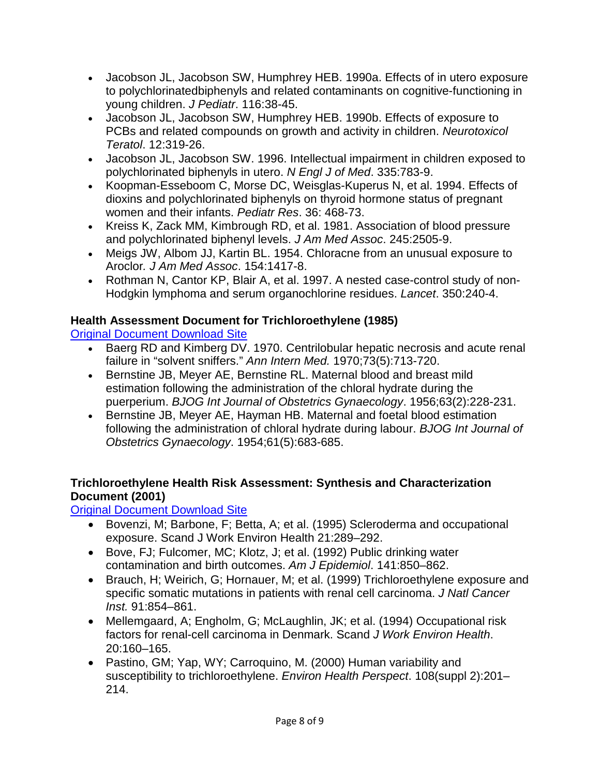- Jacobson JL, Jacobson SW, Humphrey HEB. 1990a. Effects of in utero exposure to polychlorinatedbiphenyls and related contaminants on cognitive-functioning in young children. *J Pediatr*. 116:38-45.
- Jacobson JL, Jacobson SW, Humphrey HEB. 1990b. Effects of exposure to PCBs and related compounds on growth and activity in children. *Neurotoxicol Teratol*. 12:319-26.
- Jacobson JL, Jacobson SW. 1996. Intellectual impairment in children exposed to polychlorinated biphenyls in utero. *N Engl J of Med*. 335:783-9.
- Koopman-Esseboom C, Morse DC, Weisglas-Kuperus N, et al. 1994. Effects of dioxins and polychlorinated biphenyls on thyroid hormone status of pregnant women and their infants. *Pediatr Res*. 36: 468-73.
- Kreiss K, Zack MM, Kimbrough RD, et al. 1981. Association of blood pressure and polychlorinated biphenyl levels. *J Am Med Assoc*. 245:2505-9.
- Meigs JW, Albom JJ, Kartin BL. 1954. Chloracne from an unusual exposure to Aroclor*. J Am Med Assoc*. 154:1417-8.
- Rothman N, Cantor KP, Blair A, et al. 1997. A nested case-control study of non-Hodgkin lymphoma and serum organochlorine residues. *Lancet*. 350:240-4.

## **Health Assessment Document for Trichloroethylene (1985)**

[Original Document Download Site](https://nepis.epa.gov/Exe/ZyNET.exe/2000BFCV.TXT?ZyActionD=ZyDocument&Client=EPA&Index=1981+Thru+1985&Docs=&Query=&Time=&EndTime=&SearchMethod=1&TocRestrict=n&Toc=&TocEntry=&QField=&QFieldYear=&QFieldMonth=&QFieldDay=&IntQFieldOp=0&ExtQFieldOp=0&XmlQuery=&File=D%3A%5Czyfiles%5CIndex%20Data%5C81thru85%5CTxt%5C00000001%5C2000BFCV.txt&User=ANONYMOUS&Password=anonymous&SortMethod=h%7C-&MaximumDocuments=1&FuzzyDegree=0&ImageQuality=r75g8/r75g8/x150y150g16/i425&Display=hpfr&DefSeekPage=x&SearchBack=ZyActionL&Back=ZyActionS&BackDesc=Results%20page&MaximumPages=1&ZyEntry=1&SeekPage=x&ZyPURL)

- Baerg RD and Kimberg DV. 1970. Centrilobular hepatic necrosis and acute renal failure in "solvent sniffers." *Ann Intern Med.* 1970;73(5):713-720.
- Bernstine JB, Meyer AE, Bernstine RL. Maternal blood and breast mild estimation following the administration of the chloral hydrate during the puerperium. *BJOG Int Journal of Obstetrics Gynaecology*. 1956;63(2):228-231.
- Bernstine JB, Meyer AE, Hayman HB. Maternal and foetal blood estimation following the administration of chloral hydrate during labour. *BJOG Int Journal of Obstetrics Gynaecology*. 1954;61(5):683-685.

## **Trichloroethylene Health Risk Assessment: Synthesis and Characterization Document (2001)**

[Original Document Download Site](https://nepis.epa.gov/Exe/ZyNET.exe/P100GIYQ.TXT?ZyActionD=ZyDocument&Client=EPA&Index=2000+Thru+2005&Docs=&Query=&Time=&EndTime=&SearchMethod=1&TocRestrict=n&Toc=&TocEntry=&QField=&QFieldYear=&QFieldMonth=&QFieldDay=&IntQFieldOp=0&ExtQFieldOp=0&XmlQuery=&File=D%3A%5Czyfiles%5CIndex%20Data%5C00thru05%5CTxt%5C00000032%5CP100GIYQ.txt&User=ANONYMOUS&Password=anonymous&SortMethod=h%7C-&MaximumDocuments=1&FuzzyDegree=0&ImageQuality=r75g8/r75g8/x150y150g16/i425&Display=hpfr&DefSeekPage=x&SearchBack=ZyActionL&Back=ZyActionS&BackDesc=Results%20page&MaximumPages=1&ZyEntry=1&SeekPage=x&ZyPURL)

- Bovenzi, M; Barbone, F; Betta, A; et al. (1995) Scleroderma and occupational exposure. Scand J Work Environ Health 21:289–292.
- Bove, FJ; Fulcomer, MC; Klotz, J; et al. (1992) Public drinking water contamination and birth outcomes. *Am J Epidemiol*. 141:850–862.
- Brauch, H; Weirich, G; Hornauer, M; et al. (1999) Trichloroethylene exposure and specific somatic mutations in patients with renal cell carcinoma. *J Natl Cancer Inst.* 91:854–861.
- Mellemgaard, A; Engholm, G; McLaughlin, JK; et al. (1994) Occupational risk factors for renal-cell carcinoma in Denmark. Scand *J Work Environ Health*. 20:160–165.
- Pastino, GM; Yap, WY; Carroquino, M. (2000) Human variability and susceptibility to trichloroethylene. *Environ Health Perspect*. 108(suppl 2):201– 214.